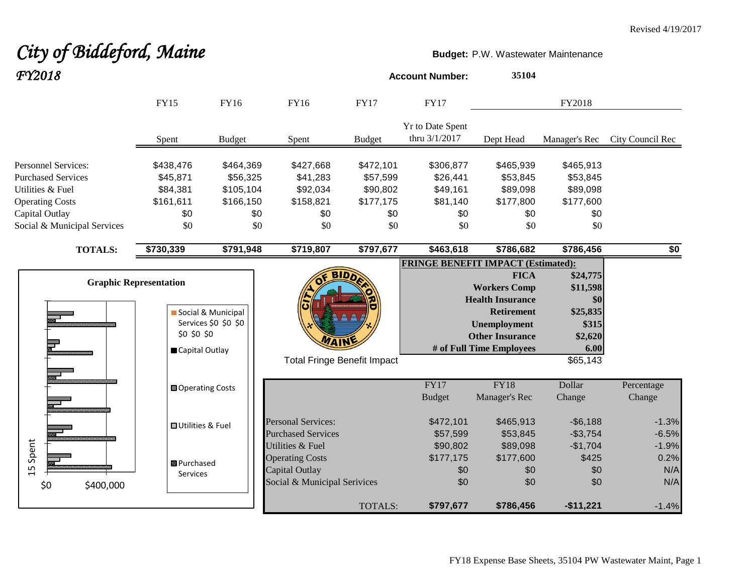# City of Biddeford, Maine **Budget: P.W. Wastewater Maintenance** *FY2018* **Account Number: <sup>35104</sup>**

|                                                                                                                                                        | <b>FY15</b>                                                                                                                   | <b>FY16</b>                                | FY16                                                                                                           | <b>FY17</b>    | <b>FY17</b>                                                 |                                                                                                                                                                 | FY2018                                                                            |                               |
|--------------------------------------------------------------------------------------------------------------------------------------------------------|-------------------------------------------------------------------------------------------------------------------------------|--------------------------------------------|----------------------------------------------------------------------------------------------------------------|----------------|-------------------------------------------------------------|-----------------------------------------------------------------------------------------------------------------------------------------------------------------|-----------------------------------------------------------------------------------|-------------------------------|
|                                                                                                                                                        | Spent                                                                                                                         | <b>Budget</b>                              | Spent                                                                                                          | <b>Budget</b>  | Yr to Date Spent<br>thru 3/1/2017                           | Dept Head                                                                                                                                                       | Manager's Rec                                                                     | City Council Rec              |
| <b>Personnel Services:</b><br><b>Purchased Services</b><br>Utilities & Fuel<br><b>Operating Costs</b><br>Capital Outlay<br>Social & Municipal Services | \$438,476<br>\$464,369<br>\$45,871<br>\$56,325<br>\$84,381<br>\$105,104<br>\$161,611<br>\$166,150<br>\$0<br>\$0<br>\$0<br>\$0 |                                            | \$427,668<br>\$472,101<br>\$41,283<br>\$57,599<br>\$90,802<br>\$92,034<br>\$158,821<br>\$177,175<br>\$0<br>\$0 |                | \$306,877<br>\$26,441<br>\$49,161<br>\$81,140<br>\$0<br>\$0 | \$465,939<br>\$53,845<br>\$89,098<br>\$177,800<br>\$0<br>\$0                                                                                                    |                                                                                   |                               |
| <b>TOTALS:</b>                                                                                                                                         | \$730,339                                                                                                                     | \$791,948                                  | \$719,807                                                                                                      | \$797,677      | \$463,618                                                   | \$786,682                                                                                                                                                       | \$786,456                                                                         | \$0                           |
|                                                                                                                                                        | <b>Graphic Representation</b><br>\$0 \$0 \$0<br>Capital Outlay                                                                | Social & Municipal<br>Services \$0 \$0 \$0 | <b>BIDD</b><br><b>Total Fringe Benefit Impact</b>                                                              |                | <b>FRINGE BENEFIT IMPACT (Estimated):</b>                   | <b>FICA</b><br><b>Workers Comp</b><br><b>Health Insurance</b><br><b>Retirement</b><br><b>Unemployment</b><br><b>Other Insurance</b><br># of Full Time Employees | \$24,775<br>\$11,598<br>\$0<br>\$25,835<br>\$315<br>\$2,620<br>$6.00$<br>\$65,143 |                               |
|                                                                                                                                                        | <b>□</b> Operating Costs                                                                                                      |                                            |                                                                                                                |                | FY17<br><b>Budget</b>                                       | <b>FY18</b><br>Manager's Rec                                                                                                                                    | Dollar<br>Change                                                                  | Percentage<br>Change          |
|                                                                                                                                                        | <b>□ Utilities &amp; Fuel</b>                                                                                                 |                                            | <b>Personal Services:</b><br><b>Purchased Services</b>                                                         |                | \$472,101<br>\$57,599                                       | \$465,913<br>\$53,845                                                                                                                                           | $-$ \$6,188<br>$-$3,754$                                                          | $-1.3%$<br>$-6.5%$            |
| .5 Spent<br>\$0<br>\$400,000                                                                                                                           | <b>B</b> Purchased<br>Services                                                                                                |                                            | Utilities & Fuel<br><b>Operating Costs</b><br>Capital Outlay<br>Social & Municipal Serivices                   |                | \$90,802<br>\$177,175<br>\$0<br>\$0                         | \$89,098<br>\$177,600<br>\$0<br>\$0                                                                                                                             | $-$1,704$<br>\$425<br>\$0<br>\$0                                                  | $-1.9%$<br>0.2%<br>N/A<br>N/A |
|                                                                                                                                                        |                                                                                                                               |                                            |                                                                                                                | <b>TOTALS:</b> | \$797,677                                                   | \$786,456                                                                                                                                                       | $-$11,221$                                                                        | $-1.4%$                       |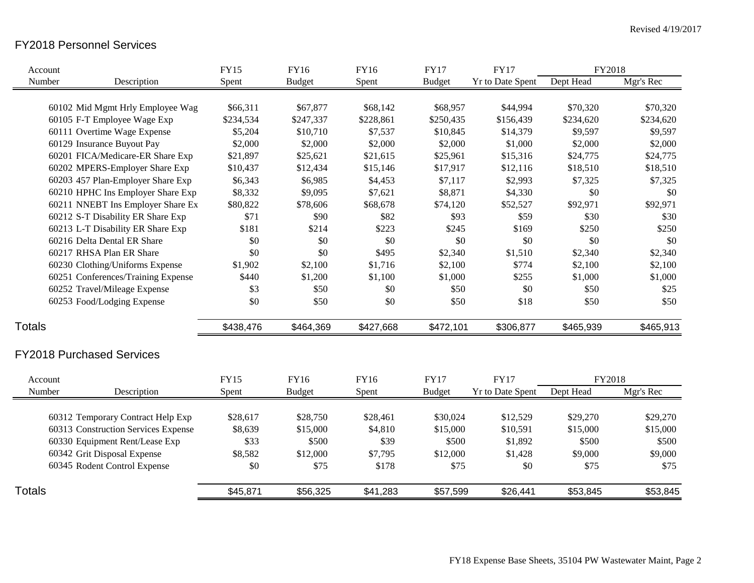# FY2018 Personnel Services

| Account           |                                     | <b>FY15</b> | <b>FY16</b>   | <b>FY16</b> | <b>FY17</b>   | <b>FY17</b>             | FY2018    |           |
|-------------------|-------------------------------------|-------------|---------------|-------------|---------------|-------------------------|-----------|-----------|
| Number            | Description                         | Spent       | <b>Budget</b> | Spent       | <b>Budget</b> | <b>Yr to Date Spent</b> | Dept Head | Mgr's Rec |
|                   |                                     |             |               |             |               |                         |           |           |
|                   | 60102 Mid Mgmt Hrly Employee Wag    | \$66,311    | \$67,877      | \$68,142    | \$68,957      | \$44,994                | \$70,320  | \$70,320  |
|                   | 60105 F-T Employee Wage Exp         | \$234,534   | \$247,337     | \$228,861   | \$250,435     | \$156,439               | \$234,620 | \$234,620 |
|                   | 60111 Overtime Wage Expense         | \$5,204     | \$10,710      | \$7,537     | \$10,845      | \$14,379                | \$9,597   | \$9,597   |
|                   | 60129 Insurance Buyout Pay          | \$2,000     | \$2,000       | \$2,000     | \$2,000       | \$1,000                 | \$2,000   | \$2,000   |
|                   | 60201 FICA/Medicare-ER Share Exp    | \$21,897    | \$25,621      | \$21,615    | \$25,961      | \$15,316                | \$24,775  | \$24,775  |
|                   | 60202 MPERS-Employer Share Exp      | \$10,437    | \$12,434      | \$15,146    | \$17,917      | \$12,116                | \$18,510  | \$18,510  |
|                   | 60203 457 Plan-Employer Share Exp   | \$6,343     | \$6,985       | \$4,453     | \$7,117       | \$2,993                 | \$7,325   | \$7,325   |
|                   | 60210 HPHC Ins Employer Share Exp   | \$8,332     | \$9,095       | \$7,621     | \$8,871       | \$4,330                 | \$0       | \$0       |
|                   | 60211 NNEBT Ins Employer Share Ex   | \$80,822    | \$78,606      | \$68,678    | \$74,120      | \$52,527                | \$92,971  | \$92,971  |
|                   | 60212 S-T Disability ER Share Exp   | \$71        | \$90          | \$82        | \$93          | \$59                    | \$30      | \$30      |
|                   | 60213 L-T Disability ER Share Exp   | \$181       | \$214         | \$223       | \$245         | \$169                   | \$250     | \$250     |
|                   | 60216 Delta Dental ER Share         | \$0         | \$0           | \$0         | \$0           | \$0                     | \$0       | \$0       |
|                   | 60217 RHSA Plan ER Share            | \$0         | \$0           | \$495       | \$2,340       | \$1,510                 | \$2,340   | \$2,340   |
|                   | 60230 Clothing/Uniforms Expense     | \$1,902     | \$2,100       | \$1,716     | \$2,100       | \$774                   | \$2,100   | \$2,100   |
|                   | 60251 Conferences/Training Expense  | \$440       | \$1,200       | \$1,100     | \$1,000       | \$255                   | \$1,000   | \$1,000   |
|                   | 60252 Travel/Mileage Expense        | \$3         | \$50          | \$0         | \$50          | \$0                     | \$50      | \$25      |
|                   | 60253 Food/Lodging Expense          | \$0         | \$50          | \$0         | \$50          | \$18                    | \$50      | \$50      |
| <b>Totals</b>     |                                     | \$438,476   | \$464,369     | \$427,668   | \$472,101     | \$306,877               | \$465,939 | \$465,913 |
|                   | <b>FY2018 Purchased Services</b>    |             |               |             |               |                         |           |           |
|                   |                                     | <b>FY15</b> | <b>FY16</b>   | <b>FY16</b> | <b>FY17</b>   | <b>FY17</b>             | FY2018    |           |
| Account<br>Number | Description                         | Spent       | <b>Budget</b> | Spent       | <b>Budget</b> | Yr to Date Spent        | Dept Head | Mgr's Rec |
|                   |                                     |             |               |             |               |                         |           |           |
|                   | 60312 Temporary Contract Help Exp   | \$28,617    | \$28,750      | \$28,461    | \$30,024      | \$12,529                | \$29,270  | \$29,270  |
|                   | 60313 Construction Services Expense | \$8,639     | \$15,000      | \$4,810     | \$15,000      | \$10,591                | \$15,000  | \$15,000  |
|                   | 60330 Equipment Rent/Lease Exp      | \$33        | \$500         | \$39        | \$500         | \$1,892                 | \$500     | \$500     |
|                   | 60342 Grit Disposal Expense         | \$8,582     | \$12,000      | \$7,795     | \$12,000      | \$1,428                 | \$9,000   | \$9,000   |
|                   | 60345 Rodent Control Expense        | \$0         | \$75          | \$178       | \$75          | \$0                     | \$75      | \$75      |
| <b>Totals</b>     |                                     | \$45,871    | \$56,325      | \$41,283    | \$57,599      | \$26,441                | \$53,845  | \$53,845  |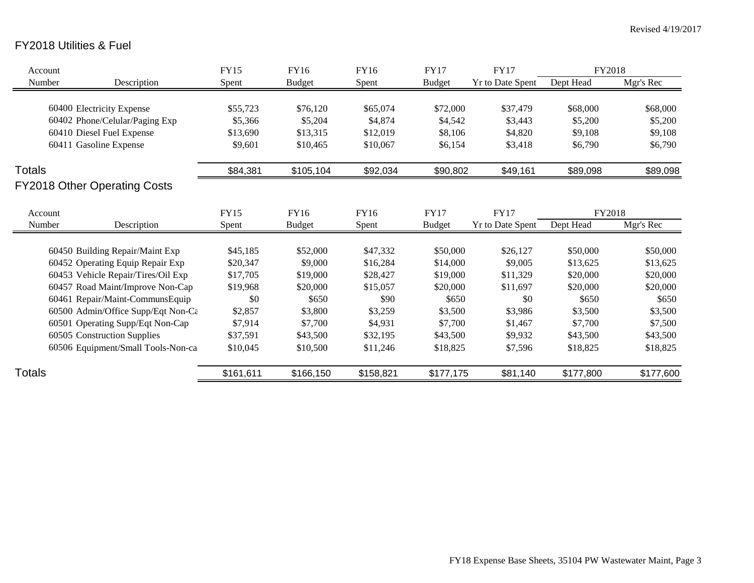# FY2018 Utilities & Fuel

| Account       |                                     | <b>FY15</b> | FY16          | FY16      | <b>FY17</b>   | <b>FY17</b>             | FY2018    |           |
|---------------|-------------------------------------|-------------|---------------|-----------|---------------|-------------------------|-----------|-----------|
| Number        | Description                         | Spent       | <b>Budget</b> | Spent     | <b>Budget</b> | Yr to Date Spent        | Dept Head | Mgr's Rec |
|               |                                     |             |               |           |               |                         |           |           |
|               | 60400 Electricity Expense           | \$55,723    | \$76,120      | \$65,074  | \$72,000      | \$37,479                | \$68,000  | \$68,000  |
|               | 60402 Phone/Celular/Paging Exp      | \$5,366     | \$5,204       | \$4,874   | \$4,542       | \$3,443                 | \$5,200   | \$5,200   |
|               | 60410 Diesel Fuel Expense           | \$13,690    | \$13,315      | \$12,019  | \$8,106       | \$4,820                 | \$9,108   | \$9,108   |
|               | 60411 Gasoline Expense              | \$9,601     | \$10,465      | \$10,067  | \$6,154       | \$3,418                 | \$6,790   | \$6,790   |
| <b>Totals</b> |                                     | \$84,381    | \$105,104     | \$92,034  | \$90,802      | \$49,161                | \$89,098  | \$89,098  |
|               | <b>FY2018 Other Operating Costs</b> |             |               |           |               |                         |           |           |
| Account       |                                     | <b>FY15</b> | FY16          | FY16      | <b>FY17</b>   | <b>FY17</b>             | FY2018    |           |
| Number        | Description                         | Spent       | <b>Budget</b> | Spent     | <b>Budget</b> | <b>Yr to Date Spent</b> | Dept Head | Mgr's Rec |
|               |                                     |             |               |           |               |                         |           |           |
|               | 60450 Building Repair/Maint Exp     | \$45,185    | \$52,000      | \$47,332  | \$50,000      | \$26,127                | \$50,000  | \$50,000  |
|               | 60452 Operating Equip Repair Exp    | \$20,347    | \$9,000       | \$16,284  | \$14,000      | \$9,005                 | \$13,625  | \$13,625  |
|               | 60453 Vehicle Repair/Tires/Oil Exp  | \$17,705    | \$19,000      | \$28,427  | \$19,000      | \$11,329                | \$20,000  | \$20,000  |
|               | 60457 Road Maint/Improve Non-Cap    | \$19,968    | \$20,000      | \$15,057  | \$20,000      | \$11,697                | \$20,000  | \$20,000  |
|               | 60461 Repair/Maint-CommunsEquip     | \$0         | \$650         | \$90      | \$650         | \$0                     | \$650     | \$650     |
|               | 60500 Admin/Office Supp/Eqt Non-Ca  | \$2,857     | \$3,800       | \$3,259   | \$3,500       | \$3,986                 | \$3,500   | \$3,500   |
|               | 60501 Operating Supp/Eqt Non-Cap    | \$7,914     | \$7,700       | \$4,931   | \$7,700       | \$1,467                 | \$7,700   | \$7,500   |
|               | 60505 Construction Supplies         | \$37,591    | \$43,500      | \$32,195  | \$43,500      | \$9,932                 | \$43,500  | \$43,500  |
|               | 60506 Equipment/Small Tools-Non-ca  | \$10,045    | \$10,500      | \$11,246  | \$18,825      | \$7,596                 | \$18,825  | \$18,825  |
| Totals        |                                     | \$161,611   | \$166,150     | \$158,821 | \$177,175     | \$81,140                | \$177,800 | \$177,600 |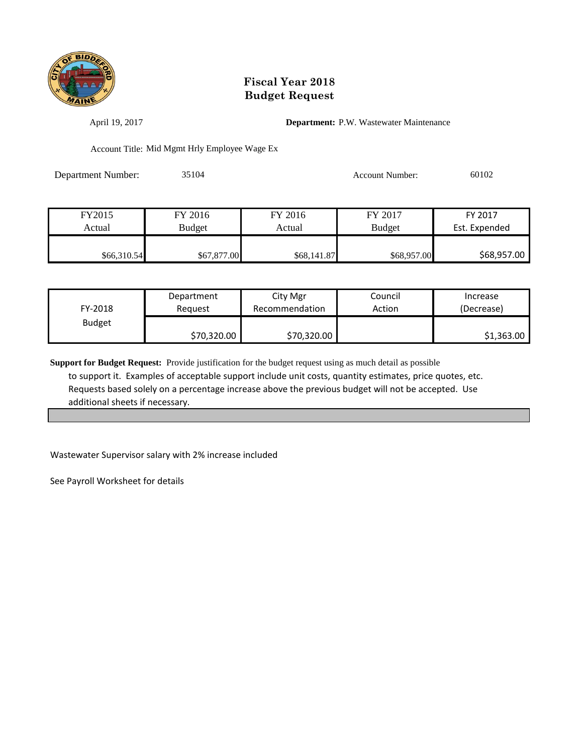

April 19, 2017 **Department:** P.W. Wastewater Maintenance

Account Title: Mid Mgmt Hrly Employee Wage Ex

Department Number: 35104 Account Number: 60102

| FY2015      | FY 2016       | FY 2016     | FY 2017       | FY 2017       |
|-------------|---------------|-------------|---------------|---------------|
| Actual      | <b>Budget</b> | Actual      | <b>Budget</b> | Est. Expended |
|             |               |             |               |               |
| \$66,310.54 | \$67,877.00   | \$68,141.87 | \$68,957.00   | \$68,957.00   |

| FY-2018       | Department  | City Mgr       | Council | Increase   |
|---------------|-------------|----------------|---------|------------|
|               | Reauest     | Recommendation | Action  | (Decrease) |
| <b>Budget</b> | \$70,320.00 | \$70,320.00    |         | \$1,363.00 |

**Support for Budget Request:** Provide justification for the budget request using as much detail as possible to support it. Examples of acceptable support include unit costs, quantity estimates, price quotes, etc. Requests based solely on a percentage increase above the previous budget will not be accepted. Use additional sheets if necessary.

Wastewater Supervisor salary with 2% increase included

See Payroll Worksheet for details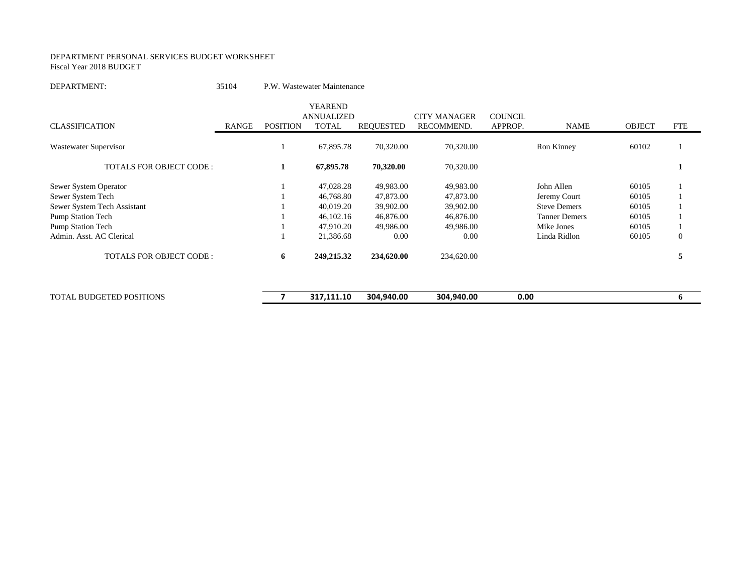#### DEPARTMENT PERSONAL SERVICES BUDGET WORKSHEET Fiscal Year 2018 BUDGET

#### DEPARTMENT: 35104 P.W. Wastewater Maintenance

|                                 |       |                 | <b>YEAREND</b><br><b>ANNUALIZED</b> |            | <b>CITY MANAGER</b> | <b>COUNCIL</b> |                      |               |              |
|---------------------------------|-------|-----------------|-------------------------------------|------------|---------------------|----------------|----------------------|---------------|--------------|
| <b>CLASSIFICATION</b>           | RANGE | <b>POSITION</b> | <b>TOTAL</b>                        | REOUESTED  | RECOMMEND.          | APPROP.        | <b>NAME</b>          | <b>OBJECT</b> | <b>FTE</b>   |
| Wastewater Supervisor           |       |                 | 67,895.78                           | 70,320.00  | 70,320.00           |                | Ron Kinney           | 60102         |              |
| <b>TOTALS FOR OBJECT CODE:</b>  |       | 1               | 67,895.78                           | 70,320.00  | 70,320.00           |                |                      |               |              |
| Sewer System Operator           |       |                 | 47,028.28                           | 49,983.00  | 49,983.00           |                | John Allen           | 60105         |              |
| Sewer System Tech               |       |                 | 46,768.80                           | 47,873.00  | 47,873.00           |                | Jeremy Court         | 60105         |              |
| Sewer System Tech Assistant     |       |                 | 40,019.20                           | 39,902.00  | 39,902.00           |                | <b>Steve Demers</b>  | 60105         |              |
| <b>Pump Station Tech</b>        |       |                 | 46,102.16                           | 46,876.00  | 46,876.00           |                | <b>Tanner Demers</b> | 60105         |              |
| <b>Pump Station Tech</b>        |       |                 | 47,910.20                           | 49,986.00  | 49,986.00           |                | Mike Jones           | 60105         |              |
| Admin. Asst. AC Clerical        |       |                 | 21,386.68                           | 0.00       | 0.00                |                | Linda Ridlon         | 60105         | $\mathbf{0}$ |
| <b>TOTALS FOR OBJECT CODE:</b>  |       | 6               | 249,215.32                          | 234,620.00 | 234,620.00          |                |                      |               | C            |
|                                 |       |                 |                                     |            |                     |                |                      |               |              |
| <b>TOTAL BUDGETED POSITIONS</b> |       |                 | 317,111.10                          | 304,940.00 | 304,940.00          | 0.00           |                      |               | 6            |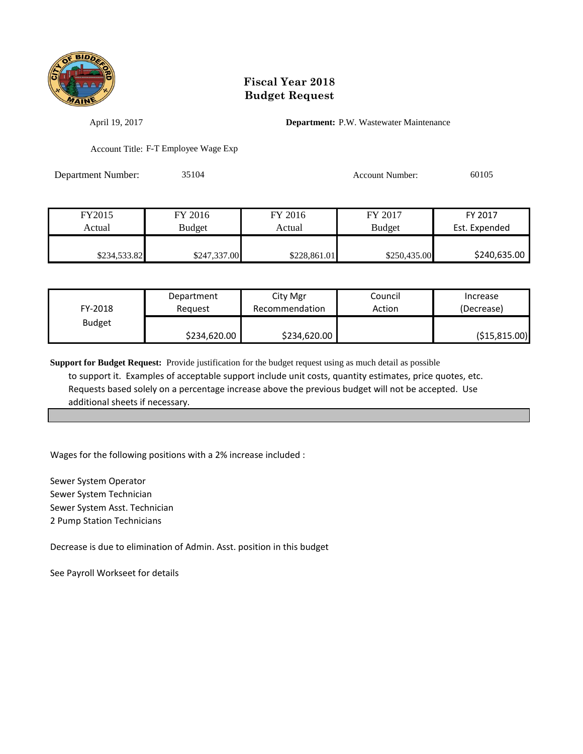

April 19, 2017 **Department:** P.W. Wastewater Maintenance

Account Title: F-T Employee Wage Exp

Department Number: 35104 Account Number: 60105

| FY2015       | FY 2016       | FY 2016      | FY 2017       | FY 2017       |
|--------------|---------------|--------------|---------------|---------------|
| Actual       | <b>Budget</b> | Actual       | <b>Budget</b> | Est. Expended |
|              |               |              |               |               |
| \$234,533.82 | \$247,337.00  | \$228,861.01 | \$250,435.00  | \$240,635.00  |

| FY-2018       | Department   |              | Council | Increase        |
|---------------|--------------|--------------|---------|-----------------|
|               | Reauest      |              | Action  | (Decrease)      |
| <b>Budget</b> | \$234,620.00 | \$234,620.00 |         | ( \$15, 815.00) |

**Support for Budget Request:** Provide justification for the budget request using as much detail as possible to support it. Examples of acceptable support include unit costs, quantity estimates, price quotes, etc. Requests based solely on a percentage increase above the previous budget will not be accepted. Use additional sheets if necessary.

Wages for the following positions with a 2% increase included :

Sewer System Operator Sewer System Technician Sewer System Asst. Technician 2 Pump Station Technicians

Decrease is due to elimination of Admin. Asst. position in this budget

See Payroll Workseet for details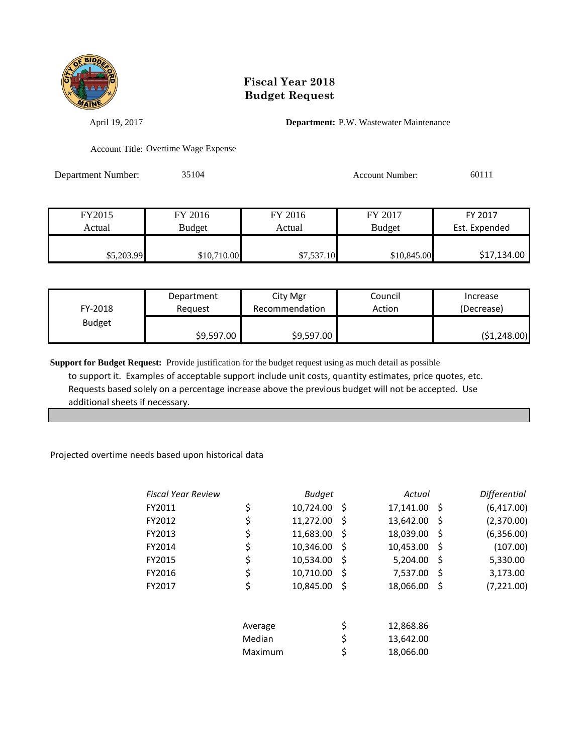

April 19, 2017 **Department:** P.W. Wastewater Maintenance

Account Title: Overtime Wage Expense

Department Number: 35104 Account Number: 60111

| FY2015     | FY 2016     | FY 2016    | FY 2017       | FY 2017       |
|------------|-------------|------------|---------------|---------------|
| Actual     | Budget      | Actual     | <b>Budget</b> | Est. Expended |
|            |             |            |               |               |
| \$5,203.99 | \$10,710.00 | \$7,537.10 | \$10,845.00   | \$17,134.00   |

| FY-2018       | Department |            | Council | Increase     |
|---------------|------------|------------|---------|--------------|
|               | Reauest    |            | Action  | (Decrease)   |
| <b>Budget</b> | \$9,597.00 | \$9,597.00 |         | (51, 248.00) |

**Support for Budget Request:** Provide justification for the budget request using as much detail as possible to support it. Examples of acceptable support include unit costs, quantity estimates, price quotes, etc. Requests based solely on a percentage increase above the previous budget will not be accepted. Use additional sheets if necessary.

#### Projected overtime needs based upon historical data

|         | <b>Budget</b> |    | Actual             |    | <b>Differential</b> |
|---------|---------------|----|--------------------|----|---------------------|
| \$      |               |    |                    |    | (6,417.00)          |
| \$      | 11,272.00     | S  | 13,642.00          | Ŝ  | (2,370.00)          |
| \$      | 11,683.00     | S  | 18,039.00          | Ŝ  | (6,356.00)          |
| \$      | 10,346.00     | .S | 10,453.00          | S  | (107.00)            |
| \$      | 10,534.00     | S  | 5,204.00           | S  | 5,330.00            |
| \$      | 10,710.00     | -S | 7,537.00           | -S | 3,173.00            |
| \$      | 10,845.00     | S  | 18,066.00          | S  | (7,221.00)          |
| Average |               |    | 12,868.86          |    |                     |
| Median  |               | \$ | 13,642.00          |    |                     |
| Maximum |               | \$ | 18,066.00          |    |                     |
|         |               |    | 10,724.00 \$<br>\$ |    | 17,141.00 \$        |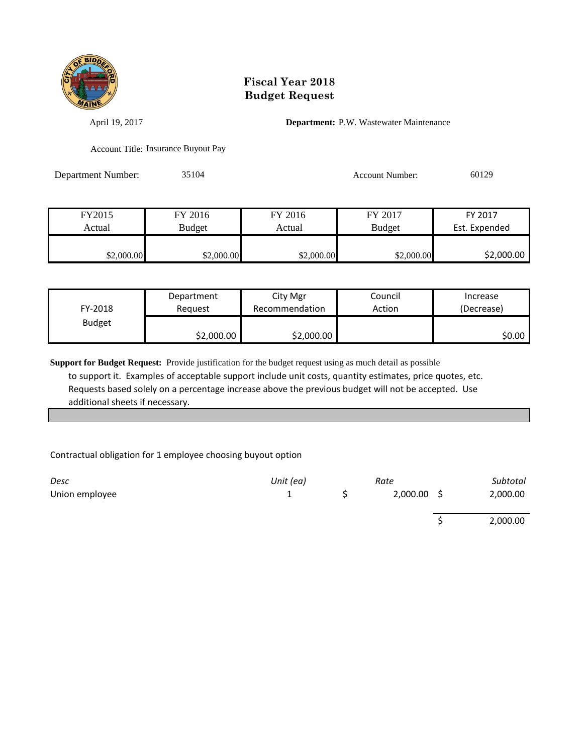

April 19, 2017 **Department:** P.W. Wastewater Maintenance

Account Title: Insurance Buyout Pay

Department Number: 35104 Account Number: 60129

| FY2015     | FY 2016    | FY 2016    | FY 2017       | FY 2017       |
|------------|------------|------------|---------------|---------------|
| Actual     | Budget     | Actual     | <b>Budget</b> | Est. Expended |
|            |            |            |               |               |
| \$2,000.00 | \$2,000.00 | \$2,000.00 | \$2,000.00    | \$2,000.00    |

| FY-2018       | Department | City Mgr       | Council | Increase   |
|---------------|------------|----------------|---------|------------|
|               | Reauest    | Recommendation | Action  | (Decrease) |
| <b>Budget</b> | \$2,000.00 | \$2,000.00     |         | \$0.00     |

**Support for Budget Request:** Provide justification for the budget request using as much detail as possible to support it. Examples of acceptable support include unit costs, quantity estimates, price quotes, etc. Requests based solely on a percentage increase above the previous budget will not be accepted. Use additional sheets if necessary.

Contractual obligation for 1 employee choosing buyout option

| Desc           | Unit (ea) | Rate          | Subtotal |
|----------------|-----------|---------------|----------|
| Union employee |           | $2,000.00$ \$ | 2,000.00 |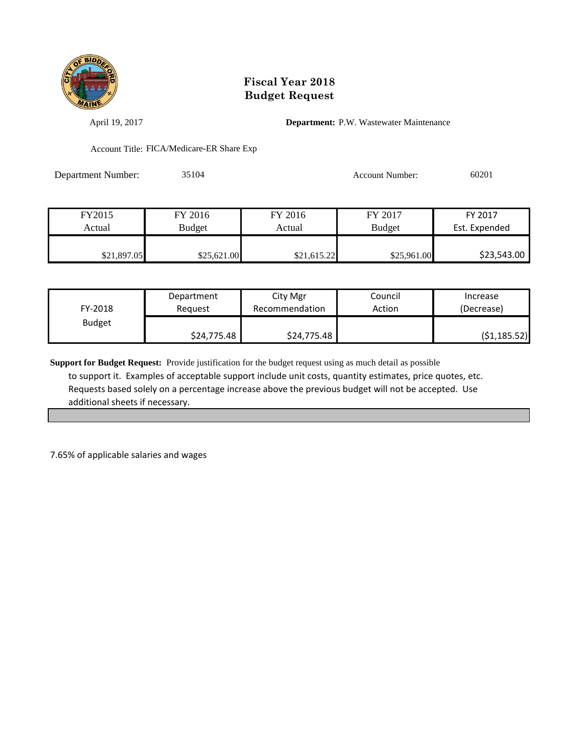

April 19, 2017 **Department:** P.W. Wastewater Maintenance

Account Title: FICA/Medicare-ER Share Exp

Department Number: 35104 Account Number: 60201

| FY2015      | FY 2016       | FY 2016     | FY 2017       | FY 2017       |
|-------------|---------------|-------------|---------------|---------------|
| Actual      | <b>Budget</b> | Actual      | <b>Budget</b> | Est. Expended |
|             |               |             |               |               |
| \$21,897.05 | \$25,621.00   | \$21,615.22 | \$25,961.00   | \$23,543.00   |

| FY-2018       | Department  | City Mgr       | Council | Increase     |
|---------------|-------------|----------------|---------|--------------|
|               | Reauest     | Recommendation | Action  | (Decrease)   |
| <b>Budget</b> | \$24,775.48 | \$24,775.48    |         | (51, 185.52) |

**Support for Budget Request:** Provide justification for the budget request using as much detail as possible to support it. Examples of acceptable support include unit costs, quantity estimates, price quotes, etc. Requests based solely on a percentage increase above the previous budget will not be accepted. Use additional sheets if necessary.

7.65% of applicable salaries and wages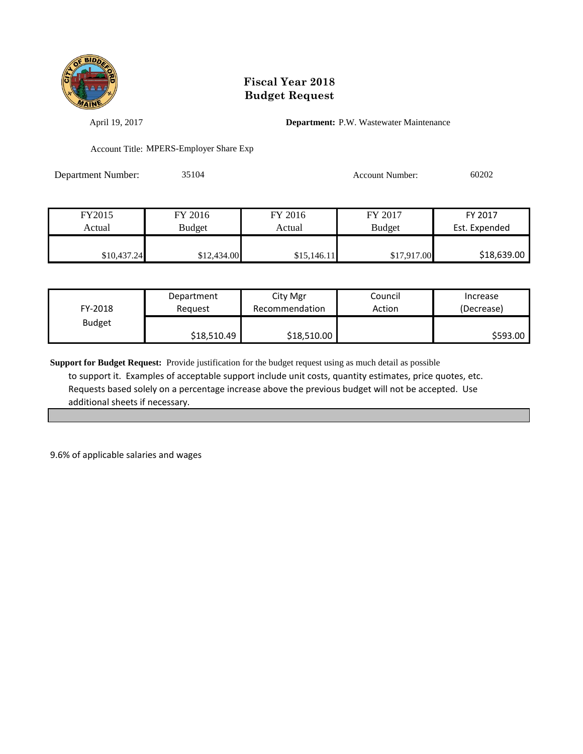

April 19, 2017 **Department:** P.W. Wastewater Maintenance

Account Title: MPERS-Employer Share Exp

Department Number: 35104 Account Number: 60202

| FY2015      | FY 2016     | FY 2016     | FY 2017       | FY 2017       |
|-------------|-------------|-------------|---------------|---------------|
| Actual      | Budget      | Actual      | <b>Budget</b> | Est. Expended |
|             |             |             |               |               |
| \$10,437.24 | \$12,434.00 | \$15,146.11 | \$17,917.00   | \$18,639.00   |

| FY-2018       | Department  | City Mgr       | Council | Increase   |
|---------------|-------------|----------------|---------|------------|
|               | Reauest     | Recommendation | Action  | (Decrease) |
| <b>Budget</b> | \$18,510.49 | \$18,510.00    |         | S593.00    |

**Support for Budget Request:** Provide justification for the budget request using as much detail as possible to support it. Examples of acceptable support include unit costs, quantity estimates, price quotes, etc. Requests based solely on a percentage increase above the previous budget will not be accepted. Use additional sheets if necessary.

9.6% of applicable salaries and wages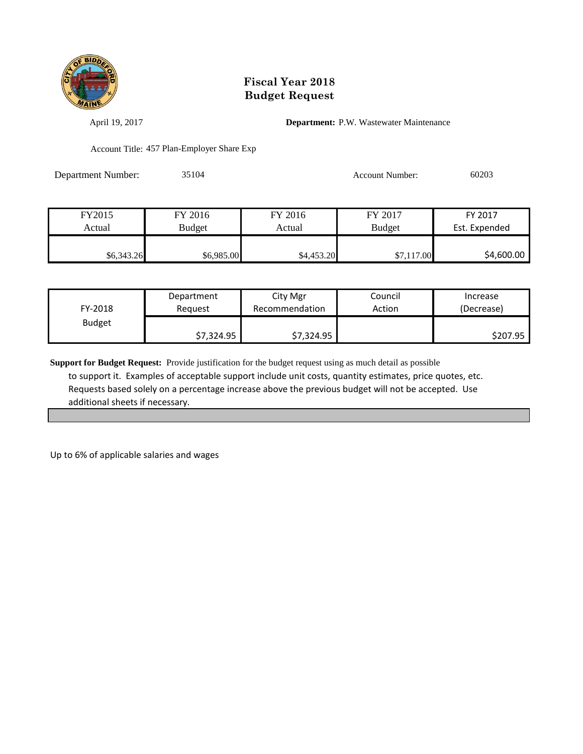

April 19, 2017 **Department:** P.W. Wastewater Maintenance

Account Title: 457 Plan-Employer Share Exp

Department Number: 35104 Account Number: 60203

| FY2015     | FY 2016    | FY 2016    | FY 2017       | FY 2017       |
|------------|------------|------------|---------------|---------------|
| Actual     | Budget     | Actual     | <b>Budget</b> | Est. Expended |
|            |            |            |               |               |
| \$6,343.26 | \$6,985.00 | \$4,453.20 | \$7,117.00    | \$4,600.00    |

| FY-2018       | Department | City Mgr       | Council | Increase   |
|---------------|------------|----------------|---------|------------|
|               | Reguest    | Recommendation | Action  | (Decrease) |
| <b>Budget</b> | \$7,324.95 | \$7,324.95     |         | \$207.95   |

**Support for Budget Request:** Provide justification for the budget request using as much detail as possible to support it. Examples of acceptable support include unit costs, quantity estimates, price quotes, etc. Requests based solely on a percentage increase above the previous budget will not be accepted. Use additional sheets if necessary.

Up to 6% of applicable salaries and wages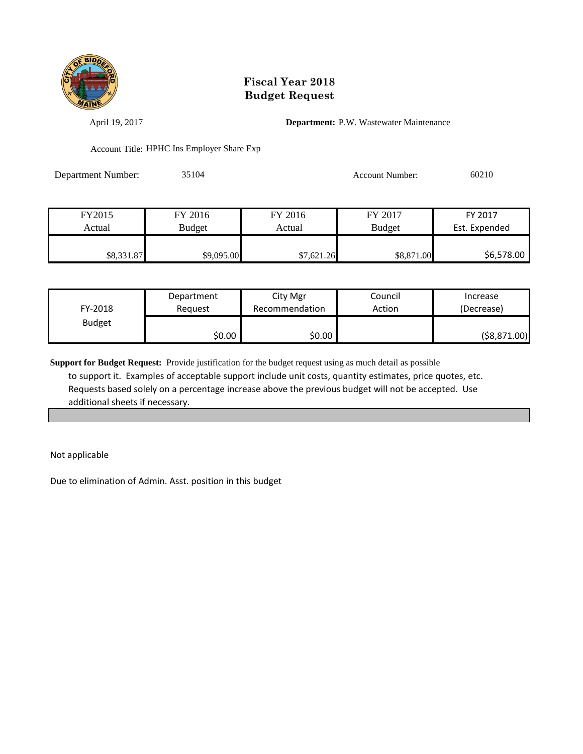

April 19, 2017 **Department:** P.W. Wastewater Maintenance

Account Title: HPHC Ins Employer Share Exp

Department Number: 35104 Account Number: 60210

| FY2015     | FY 2016    | FY 2016    | FY 2017       | FY 2017       |
|------------|------------|------------|---------------|---------------|
| Actual     | Budget     | Actual     | <b>Budget</b> | Est. Expended |
|            |            |            |               |               |
| \$8,331.87 | \$9,095.00 | \$7,621.26 | \$8,871.00    | \$6,578.00    |

| FY-2018       | Department | City Mgr       | Council | Increase      |
|---------------|------------|----------------|---------|---------------|
|               | Reauest    | Recommendation | Action  | (Decrease)    |
| <b>Budget</b> | \$0.00     | \$0.00         |         | ( \$8,871.00) |

**Support for Budget Request:** Provide justification for the budget request using as much detail as possible to support it. Examples of acceptable support include unit costs, quantity estimates, price quotes, etc. Requests based solely on a percentage increase above the previous budget will not be accepted. Use additional sheets if necessary.

Not applicable

Due to elimination of Admin. Asst. position in this budget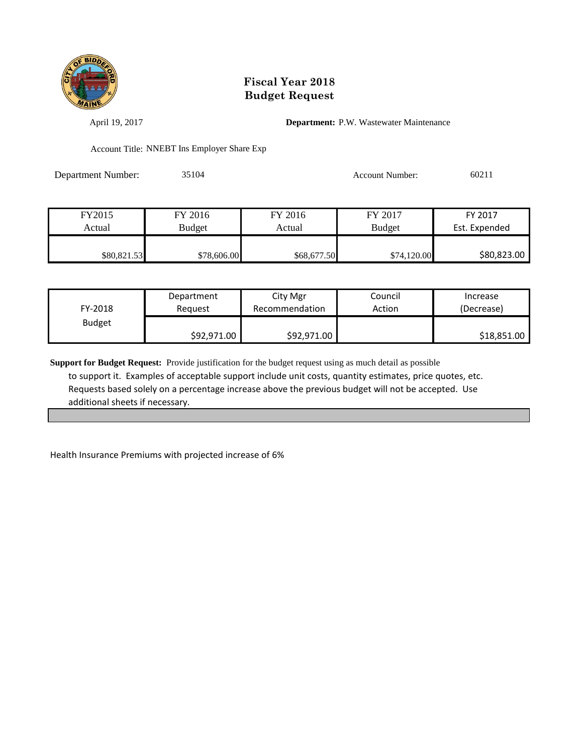

April 19, 2017 **Department:** P.W. Wastewater Maintenance

Account Title: NNEBT Ins Employer Share Exp

Department Number: 35104 Account Number: 60211

| FY2015      | FY 2016       | FY 2016     | FY 2017       | FY 2017       |
|-------------|---------------|-------------|---------------|---------------|
| Actual      | <b>Budget</b> | Actual      | <b>Budget</b> | Est. Expended |
|             |               |             |               |               |
| \$80,821.53 | \$78,606.00   | \$68,677.50 | \$74,120.00   | \$80,823.00   |

| FY-2018       | Department  | City Mgr       | Council | Increase    |
|---------------|-------------|----------------|---------|-------------|
|               | Reauest     | Recommendation | Action  | (Decrease)  |
| <b>Budget</b> | \$92,971.00 | \$92,971.00    |         | \$18,851.00 |

**Support for Budget Request:** Provide justification for the budget request using as much detail as possible to support it. Examples of acceptable support include unit costs, quantity estimates, price quotes, etc. Requests based solely on a percentage increase above the previous budget will not be accepted. Use additional sheets if necessary.

Health Insurance Premiums with projected increase of 6%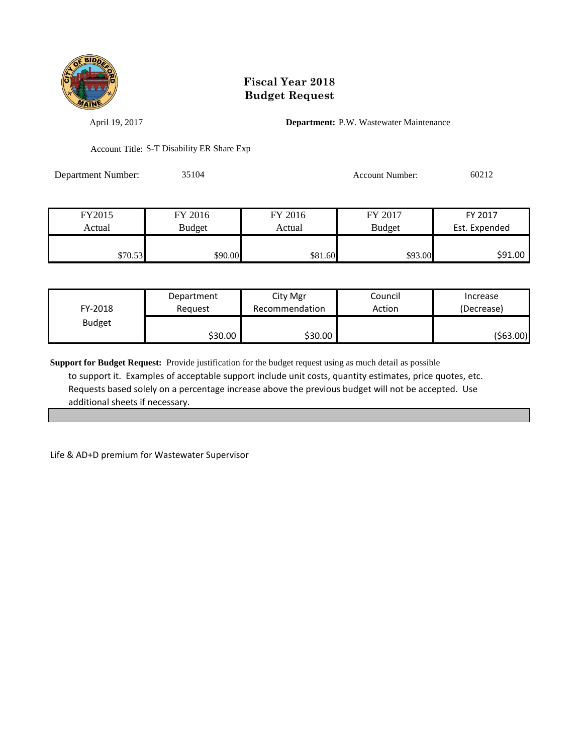

April 19, 2017 **Department:** P.W. Wastewater Maintenance

Account Title: S-T Disability ER Share Exp

Department Number: 35104 Account Number: 60212

| FY2015  | FY 2016       |         | FY 2017       | FY 2017       |  |
|---------|---------------|---------|---------------|---------------|--|
| Actual  | <b>Budget</b> | Actual  | <b>Budget</b> | Est. Expended |  |
|         |               |         |               |               |  |
| \$70.53 | \$90.00       | \$81.60 | \$93.00       | \$91.00       |  |

| FY-2018       | Department | City Mgr       | Council | Increase   |
|---------------|------------|----------------|---------|------------|
|               | Reauest    | Recommendation | Action  | (Decrease) |
| <b>Budget</b> | \$30.00    | \$30.00        |         | (\$63.00)  |

**Support for Budget Request:** Provide justification for the budget request using as much detail as possible to support it. Examples of acceptable support include unit costs, quantity estimates, price quotes, etc. Requests based solely on a percentage increase above the previous budget will not be accepted. Use additional sheets if necessary.

Life & AD+D premium for Wastewater Supervisor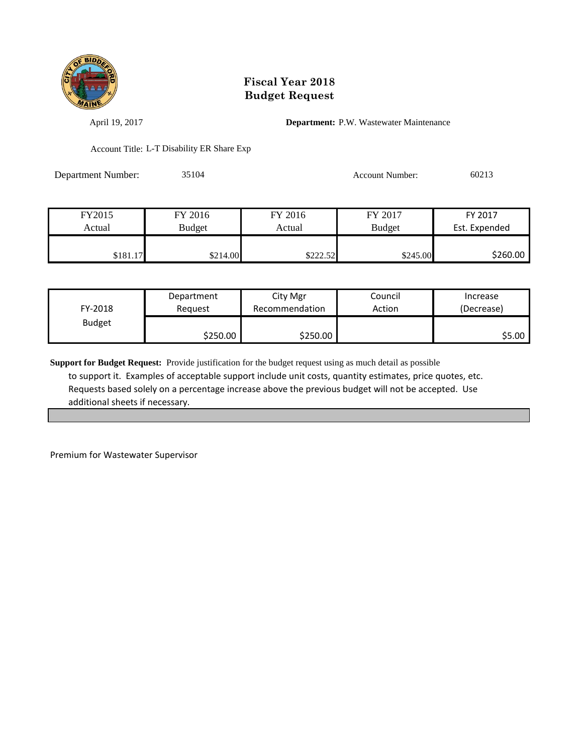

April 19, 2017 **Department:** P.W. Wastewater Maintenance

Account Title: L-T Disability ER Share Exp

Department Number: 35104 Account Number: 60213

| FY2015   | FY 2016  | FY 2016  | FY 2017       | FY 2017       |
|----------|----------|----------|---------------|---------------|
| Actual   | Budget   | Actual   | <b>Budget</b> | Est. Expended |
|          |          |          |               |               |
| \$181.17 | \$214.00 | \$222.52 | \$245.00      | \$260.00      |

| FY-2018       | Department | City Mgr       | Council | Increase   |  |
|---------------|------------|----------------|---------|------------|--|
|               | Reauest    | Recommendation | Action  | (Decrease) |  |
| <b>Budget</b> | \$250.00∣  | \$250.00       |         | \$5.00     |  |

**Support for Budget Request:** Provide justification for the budget request using as much detail as possible to support it. Examples of acceptable support include unit costs, quantity estimates, price quotes, etc. Requests based solely on a percentage increase above the previous budget will not be accepted. Use additional sheets if necessary.

Premium for Wastewater Supervisor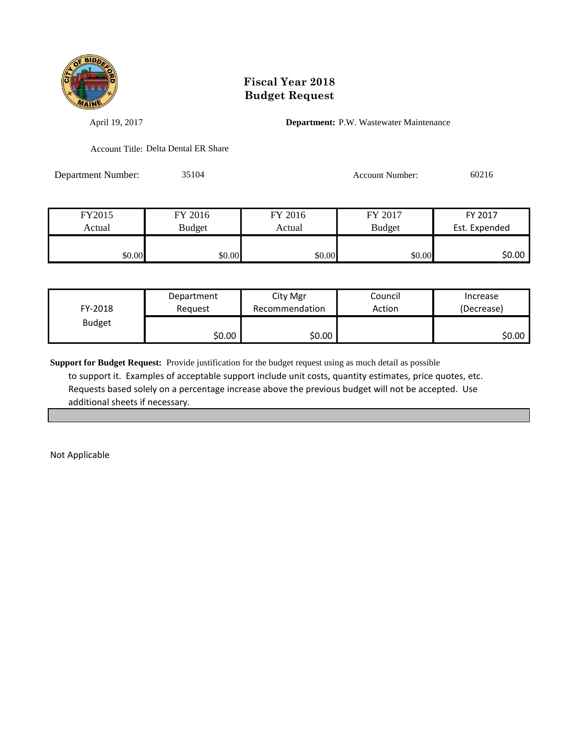

April 19, 2017 **Department:** P.W. Wastewater Maintenance

Account Title: Delta Dental ER Share

Department Number: 35104 Account Number: 60216

| FY2015 | FY 2016<br>FY 2016 |        | FY 2017       | FY 2017 |  |
|--------|--------------------|--------|---------------|---------|--|
| Actual | <b>Budget</b>      | Actual | <b>Budget</b> |         |  |
|        |                    |        |               |         |  |
| \$0.00 | \$0.00             | \$0.00 | \$0.00        | \$0.00  |  |

| FY-2018       | Department | City Mgr       | Council | Increase   |
|---------------|------------|----------------|---------|------------|
|               | Reauest    | Recommendation | Action  | (Decrease) |
| <b>Budget</b> | ا 50.00    | \$0.00         |         | \$0.00∣    |

**Support for Budget Request:** Provide justification for the budget request using as much detail as possible to support it. Examples of acceptable support include unit costs, quantity estimates, price quotes, etc. Requests based solely on a percentage increase above the previous budget will not be accepted. Use additional sheets if necessary.

Not Applicable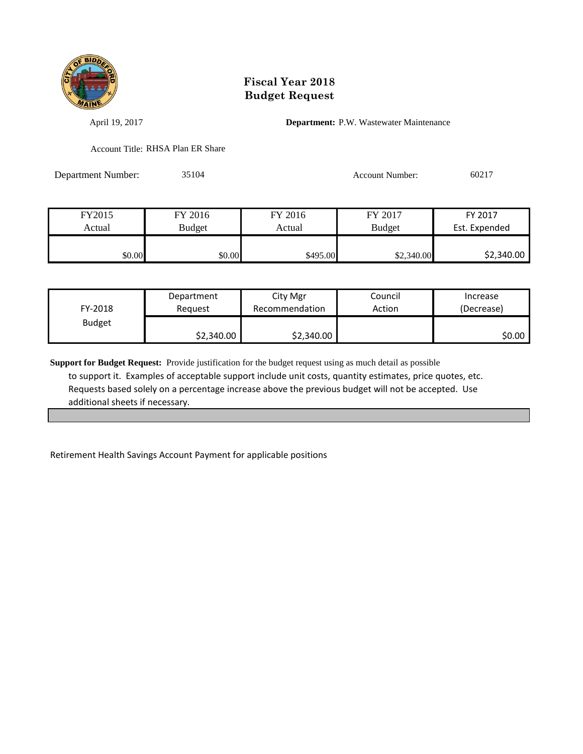

April 19, 2017 **Department:** P.W. Wastewater Maintenance

Account Title: RHSA Plan ER Share

Department Number: 35104 Account Number: 60217

| FY2015 | FY 2016 |          | FY 2017       | FY 2017    |  |
|--------|---------|----------|---------------|------------|--|
| Actual | Budget  | Actual   | <b>Budget</b> |            |  |
|        |         |          |               |            |  |
| \$0.00 | \$0.00  | \$495.00 | \$2,340.00    | \$2,340.00 |  |

| FY-2018       | Department | City Mgr       | Council | Increase   |
|---------------|------------|----------------|---------|------------|
|               | Reauest    | Recommendation | Action  | (Decrease) |
| <b>Budget</b> | \$2,340.00 | \$2,340.00     |         | \$0.00     |

**Support for Budget Request:** Provide justification for the budget request using as much detail as possible to support it. Examples of acceptable support include unit costs, quantity estimates, price quotes, etc. Requests based solely on a percentage increase above the previous budget will not be accepted. Use additional sheets if necessary.

Retirement Health Savings Account Payment for applicable positions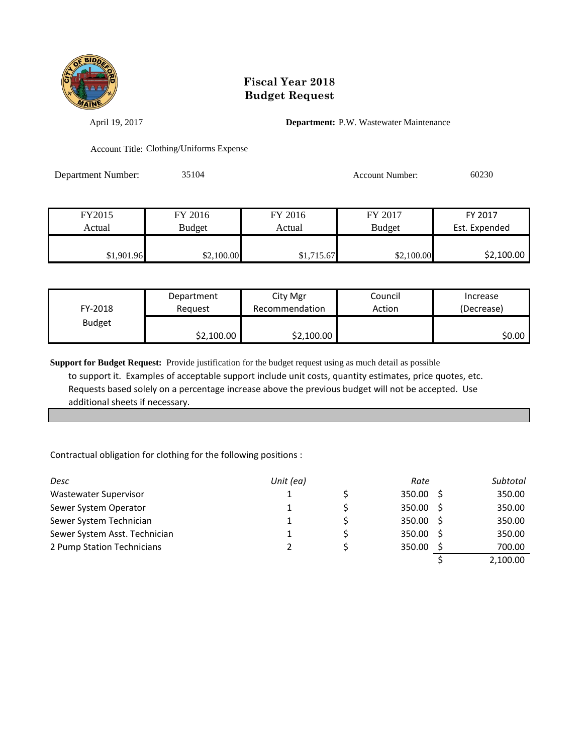

April 19, 2017 **Department:** P.W. Wastewater Maintenance

Account Title: Clothing/Uniforms Expense

Department Number: 35104 Account Number: 60230

| FY2015     | FY 2016    | FY 2016    | FY 2017       | FY 2017       |
|------------|------------|------------|---------------|---------------|
| Actual     | Budget     | Actual     | <b>Budget</b> | Est. Expended |
|            |            |            |               |               |
| \$1,901.96 | \$2,100.00 | \$1,715.67 | \$2,100.00    | \$2,100.00    |

| FY-2018       | Department | City Mgr       | Council | Increase   |
|---------------|------------|----------------|---------|------------|
|               | Reauest    | Recommendation | Action  | (Decrease) |
| <b>Budget</b> | \$2,100.00 | \$2,100.00     |         | \$0.00     |

**Support for Budget Request:** Provide justification for the budget request using as much detail as possible to support it. Examples of acceptable support include unit costs, quantity estimates, price quotes, etc. Requests based solely on a percentage increase above the previous budget will not be accepted. Use additional sheets if necessary.

Contractual obligation for clothing for the following positions :

| Desc                          | Unit (ea) | Rate        | Subtotal |
|-------------------------------|-----------|-------------|----------|
| Wastewater Supervisor         |           | $350.00$ \$ | 350.00   |
| Sewer System Operator         |           | 350.00 \$   | 350.00   |
| Sewer System Technician       |           | 350.00 \$   | 350.00   |
| Sewer System Asst. Technician |           | 350.00 \$   | 350.00   |
| 2 Pump Station Technicians    |           | 350.00      | 700.00   |
|                               |           |             | 2,100.00 |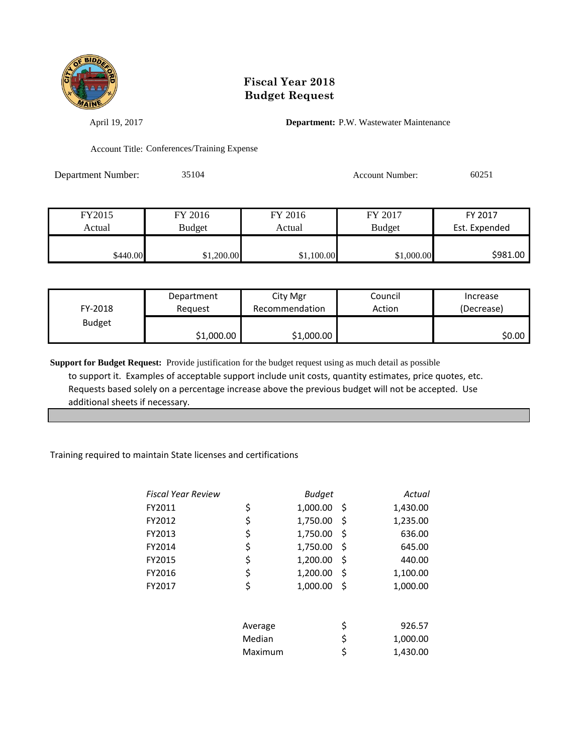

April 19, 2017 **Department:** P.W. Wastewater Maintenance

Account Title: Conferences/Training Expense

Department Number: 35104 Account Number: 60251

| FY2015   | FY 2016    | FY 2016    | FY 2017       | FY 2017       |
|----------|------------|------------|---------------|---------------|
| Actual   | Budget     | Actual     | <b>Budget</b> | Est. Expended |
|          |            |            |               |               |
| \$440.00 | \$1,200.00 | \$1,100.00 | \$1,000.00    | \$981.00      |

| FY-2018       | Department | City Mgr       | Council | Increase   |
|---------------|------------|----------------|---------|------------|
|               | Reauest    | Recommendation | Action  | (Decrease) |
| <b>Budget</b> | \$1,000.00 | \$1,000.00     |         | \$0.00     |

**Support for Budget Request:** Provide justification for the budget request using as much detail as possible to support it. Examples of acceptable support include unit costs, quantity estimates, price quotes, etc. Requests based solely on a percentage increase above the previous budget will not be accepted. Use additional sheets if necessary.

#### Training required to maintain State licenses and certifications

| Fiscal Year Review |         | <b>Budget</b> |     | Actual   |
|--------------------|---------|---------------|-----|----------|
| FY2011             | \$      | 1,000.00      | \$, | 1,430.00 |
| FY2012             | \$      | 1,750.00      | \$  | 1,235.00 |
| FY2013             | \$      | 1,750.00      | \$  | 636.00   |
| FY2014             | \$      | 1,750.00      | \$  | 645.00   |
| FY2015             | \$      | 1,200.00      | \$  | 440.00   |
| FY2016             | \$      | 1,200.00      | \$  | 1,100.00 |
| FY2017             | \$      | 1,000.00      | \$  | 1,000.00 |
|                    | Average |               | \$  | 926.57   |
|                    | Median  |               | \$  | 1,000.00 |
|                    | Maximum |               | \$  | 1,430.00 |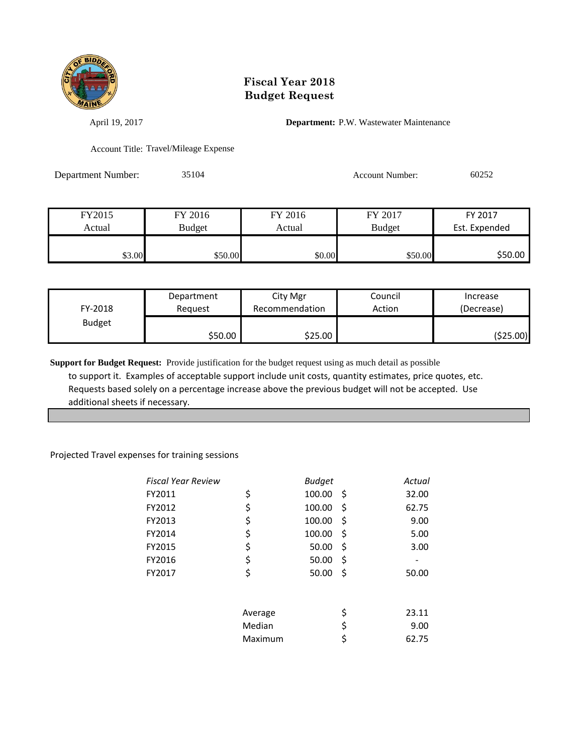

April 19, 2017 **Department:** P.W. Wastewater Maintenance

Account Title: Travel/Mileage Expense

Department Number: 35104 Account Number: 60252

| FY2015 | FY 2016 | FY 2016 | FY 2017       | FY 2017       |
|--------|---------|---------|---------------|---------------|
| Actual | Budget  | Actual  | <b>Budget</b> | Est. Expended |
|        |         |         |               |               |
| \$3.00 | \$50.00 | \$0.00  | \$50.00       | \$50.00       |

| FY-2018       | Department | City Mgr       | Council | Increase   |
|---------------|------------|----------------|---------|------------|
|               | Reguest    | Recommendation | Action  | (Decrease) |
| <b>Budget</b> | \$50.00    | \$25.00        |         | (\$25.00)  |

**Support for Budget Request:** Provide justification for the budget request using as much detail as possible to support it. Examples of acceptable support include unit costs, quantity estimates, price quotes, etc. Requests based solely on a percentage increase above the previous budget will not be accepted. Use additional sheets if necessary.

#### Projected Travel expenses for training sessions

| Fiscal Year Review |         | <b>Budget</b> | Actual      |
|--------------------|---------|---------------|-------------|
| FY2011             | \$      | 100.00        | \$<br>32.00 |
| FY2012             | \$      | 100.00        | \$<br>62.75 |
| FY2013             | \$      | 100.00        | \$<br>9.00  |
| FY2014             | \$      | 100.00        | \$<br>5.00  |
| FY2015             | \$      | 50.00         | \$<br>3.00  |
| FY2016             | \$      | 50.00         | \$          |
| FY2017             | \$      | 50.00         | \$<br>50.00 |
|                    |         |               |             |
|                    | Average |               | \$<br>23.11 |
|                    | Median  |               | \$<br>9.00  |
|                    | Maximum |               | \$<br>62.75 |
|                    |         |               |             |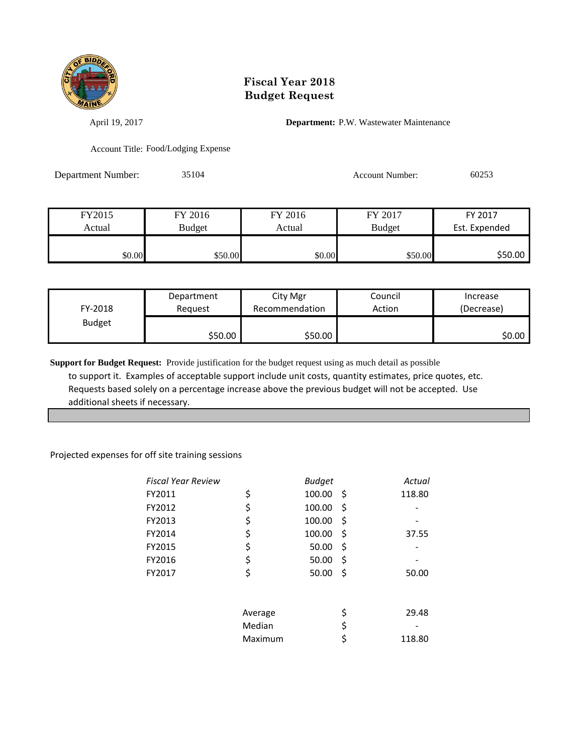

April 19, 2017 **Department:** P.W. Wastewater Maintenance

Account Title: Food/Lodging Expense

Department Number: 35104 Account Number: 60253

| FY2015 | FY 2016 | FY 2016 | FY 2017       | FY 2017       |
|--------|---------|---------|---------------|---------------|
| Actual | Budget  | Actual  | <b>Budget</b> | Est. Expended |
| \$0.00 | \$50.00 | \$0.00  | \$50.00       | \$50.00       |

| FY-2018       | Department | City Mgr       | Council | Increase   |
|---------------|------------|----------------|---------|------------|
|               | Reguest    | Recommendation | Action  | (Decrease) |
| <b>Budget</b> | \$50.00    | \$50.00        |         | SO.OO I    |

**Support for Budget Request:** Provide justification for the budget request using as much detail as possible to support it. Examples of acceptable support include unit costs, quantity estimates, price quotes, etc. Requests based solely on a percentage increase above the previous budget will not be accepted. Use additional sheets if necessary.

#### Projected expenses for off site training sessions

|         | <b>Budget</b> |    | Actual |
|---------|---------------|----|--------|
| \$      | 100.00        | \$ | 118.80 |
| \$      | 100.00        | Ş  |        |
| \$      | 100.00        | Ş  |        |
| \$      | 100.00        | Ş  | 37.55  |
| \$      | 50.00         | Ş  |        |
| \$      | 50.00         | \$ |        |
| \$      | 50.00         | \$ | 50.00  |
|         |               |    |        |
| Average |               | \$ | 29.48  |
| Median  |               | \$ |        |
| Maximum |               |    | 118.80 |
|         |               |    |        |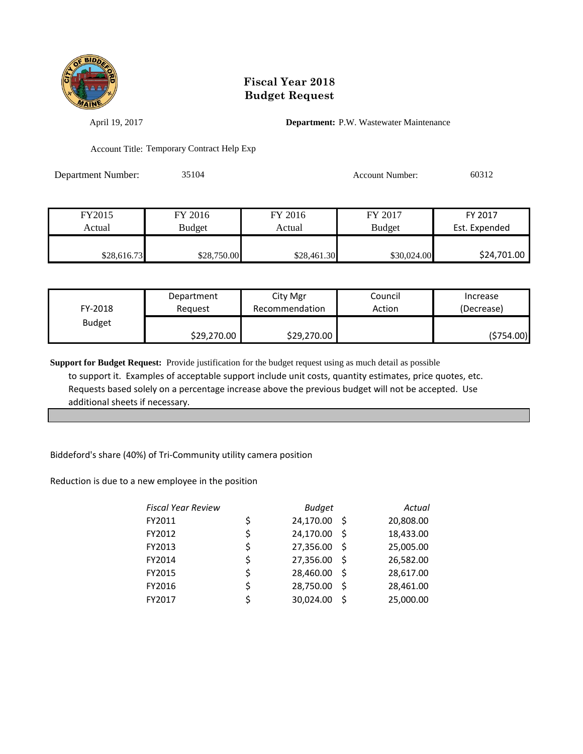

April 19, 2017 **Department:** P.W. Wastewater Maintenance

Account Title: Temporary Contract Help Exp

Department Number: 35104 Account Number: 60312

| FY2015      | FY 2016       | FY 2016     | FY 2017       | FY 2017       |
|-------------|---------------|-------------|---------------|---------------|
| Actual      | <b>Budget</b> | Actual      | <b>Budget</b> | Est. Expended |
|             |               |             |               |               |
| \$28,616.73 | \$28,750.00   | \$28,461.30 | \$30,024.00   | \$24,701.00   |

| FY-2018       | Department  | City Mgr       | Council | Increase   |
|---------------|-------------|----------------|---------|------------|
|               | Reauest     | Recommendation | Action  | (Decrease) |
| <b>Budget</b> | \$29,270.00 | \$29,270.00    |         | (\$754.00) |

**Support for Budget Request:** Provide justification for the budget request using as much detail as possible to support it. Examples of acceptable support include unit costs, quantity estimates, price quotes, etc. Requests based solely on a percentage increase above the previous budget will not be accepted. Use additional sheets if necessary.

Biddeford's share (40%) of Tri-Community utility camera position

Reduction is due to a new employee in the position

| <b>Fiscal Year Review</b> |    | <b>Budget</b> |              | Actual    |
|---------------------------|----|---------------|--------------|-----------|
| FY2011                    | \$ | 24,170.00     | -S           | 20,808.00 |
| FY2012                    |    | 24,170.00     | -S           | 18,433.00 |
| FY2013                    | \$ | 27,356.00     | <sup>S</sup> | 25,005.00 |
| FY2014                    | \$ | 27,356.00     | <sub>S</sub> | 26,582.00 |
| FY2015                    | Ś  | 28,460.00     | <sub>S</sub> | 28,617.00 |
| FY2016                    | Ś  | 28,750.00     | Ś            | 28,461.00 |
| FY2017                    |    | 30,024.00     | Ś            | 25,000.00 |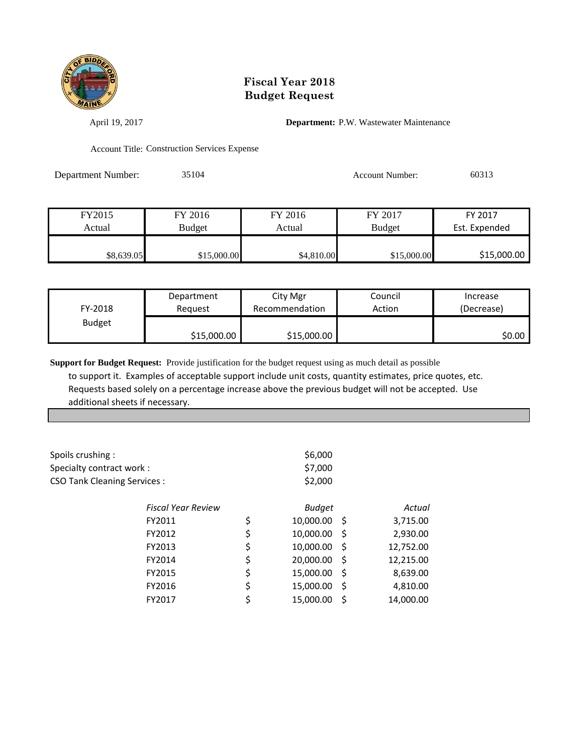

April 19, 2017 **Department:** P.W. Wastewater Maintenance

Account Title: Construction Services Expense

Department Number: 35104 Account Number: 60313

| FY2015     | FY 2016       | FY 2016    | FY 2017       | FY 2017       |
|------------|---------------|------------|---------------|---------------|
| Actual     | <b>Budget</b> | Actual     | <b>Budget</b> | Est. Expended |
|            |               |            |               |               |
| \$8,639.05 | \$15,000.00   | \$4,810.00 | \$15,000.00   | \$15,000.00   |

| FY-2018       | Department  | City Mgr       | Council | Increase   |
|---------------|-------------|----------------|---------|------------|
|               | Reauest     | Recommendation | Action  | (Decrease) |
| <b>Budget</b> | \$15,000.00 | \$15,000.00    |         | \$0.00     |

**Support for Budget Request:** Provide justification for the budget request using as much detail as possible to support it. Examples of acceptable support include unit costs, quantity estimates, price quotes, etc. Requests based solely on a percentage increase above the previous budget will not be accepted. Use additional sheets if necessary.

| Spoils crushing:                   |                           |    | \$6,000       |    |           |
|------------------------------------|---------------------------|----|---------------|----|-----------|
| Specialty contract work :          |                           |    | \$7,000       |    |           |
| <b>CSO Tank Cleaning Services:</b> |                           |    | \$2,000       |    |           |
|                                    | <b>Fiscal Year Review</b> |    | <b>Budget</b> |    | Actual    |
|                                    | FY2011                    | \$ | 10,000.00     | S  | 3,715.00  |
|                                    | \$<br>FY2012              |    | 10,000.00     | S  | 2,930.00  |
|                                    | FY2013                    | \$ | 10,000.00     | S  | 12,752.00 |
|                                    | FY2014                    | \$ | 20,000.00     | S  | 12,215.00 |
|                                    | FY2015                    | \$ | 15,000.00     | \$ | 8,639.00  |
|                                    | FY2016                    | \$ | 15,000.00     | \$ | 4,810.00  |
|                                    | FY2017                    |    | 15,000.00     | S  | 14,000.00 |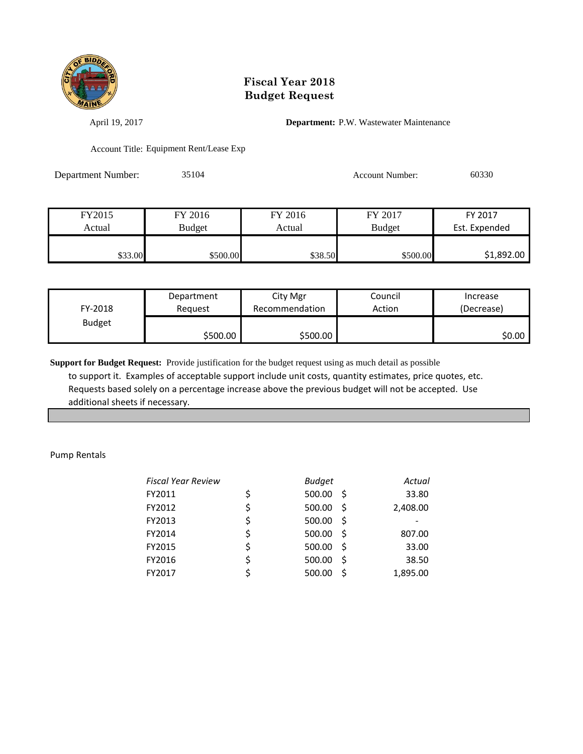

April 19, 2017 **Department:** P.W. Wastewater Maintenance

Account Title: Equipment Rent/Lease Exp

Department Number: 35104 Account Number: 60330

| FY2015  | FY 2016  | FY 2016 | FY 2017       | FY 2017       |
|---------|----------|---------|---------------|---------------|
| Actual  | Budget   | Actual  | <b>Budget</b> | Est. Expended |
|         |          |         |               |               |
| \$33.00 | \$500.00 | \$38.50 | \$500.00      | \$1,892.00    |

| FY-2018       | Department | City Mgr       | Council | Increase   |
|---------------|------------|----------------|---------|------------|
|               | Reauest    | Recommendation | Action  | (Decrease) |
| <b>Budget</b> | \$500.00   | \$500.00       |         | \$0.00∣    |

**Support for Budget Request:** Provide justification for the budget request using as much detail as possible to support it. Examples of acceptable support include unit costs, quantity estimates, price quotes, etc. Requests based solely on a percentage increase above the previous budget will not be accepted. Use additional sheets if necessary.

Pump Rentals

| <b>Fiscal Year Review</b> | <b>Budget</b> |      | Actual   |
|---------------------------|---------------|------|----------|
| FY2011                    | 500.00        | - S  | 33.80    |
| FY2012                    | \$<br>500.00  | -Ŝ   | 2,408.00 |
| FY2013                    | \$<br>500.00  | -Ŝ   |          |
| FY2014                    | \$<br>500.00  | - \$ | 807.00   |
| FY2015                    | \$<br>500.00  | -S   | 33.00    |
| FY2016                    | \$<br>500.00  | Ŝ.   | 38.50    |
| FY2017                    | 500.00        | Ś    | 1,895.00 |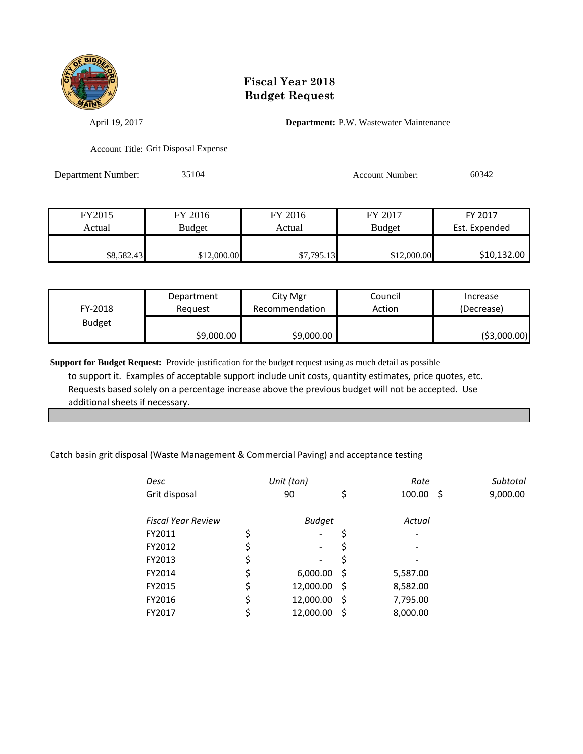

April 19, 2017 **Department:** P.W. Wastewater Maintenance

Account Title: Grit Disposal Expense

Department Number: 35104 Account Number: 60342

| FY2015     | FY 2016     | FY 2016    | FY 2017       | FY 2017       |
|------------|-------------|------------|---------------|---------------|
| Actual     | Budget      | Actual     | <b>Budget</b> | Est. Expended |
|            |             |            |               |               |
| \$8,582.43 | \$12,000.00 | \$7,795.13 | \$12,000.00   | \$10,132.00   |

| FY-2018       | Department | City Mgr       | Council | Increase      |
|---------------|------------|----------------|---------|---------------|
|               | Reauest    | Recommendation | Action  | (Decrease)    |
| <b>Budget</b> | \$9,000.00 | \$9,000.00     |         | ( \$3,000.00) |

**Support for Budget Request:** Provide justification for the budget request using as much detail as possible to support it. Examples of acceptable support include unit costs, quantity estimates, price quotes, etc. Requests based solely on a percentage increase above the previous budget will not be accepted. Use additional sheets if necessary.

#### Catch basin grit disposal (Waste Management & Commercial Paving) and acceptance testing

| Desc                      | Unit (ton)                     |     | Rate     |    | Subtotal |
|---------------------------|--------------------------------|-----|----------|----|----------|
| Grit disposal             | 90                             | \$  | 100.00   | -S | 9,000.00 |
| <b>Fiscal Year Review</b> | <b>Budget</b>                  |     | Actual   |    |          |
| FY2011                    | \$<br>$\overline{\phantom{a}}$ | \$  |          |    |          |
| FY2012                    | \$<br>$\overline{\phantom{a}}$ | S   |          |    |          |
| FY2013                    | \$<br>$\overline{\phantom{a}}$ |     |          |    |          |
| FY2014                    | \$<br>6,000.00                 | -S  | 5,587.00 |    |          |
| FY2015                    | \$<br>12,000.00                | - S | 8,582.00 |    |          |
| FY2016                    | \$<br>12,000.00                | .S  | 7,795.00 |    |          |
| FY2017                    | \$<br>12,000.00                | \$. | 8,000.00 |    |          |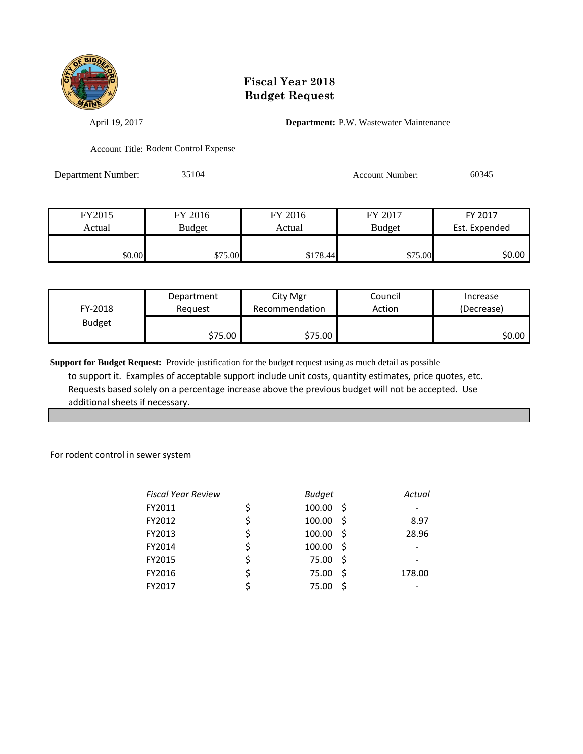

April 19, 2017 **Department:** P.W. Wastewater Maintenance

Account Title: Rodent Control Expense

Department Number: 35104 Account Number: 60345

| FY2015 | FY 2016 | FY 2016  | FY 2017       | FY 2017       |
|--------|---------|----------|---------------|---------------|
| Actual | Budget  | Actual   | <b>Budget</b> | Est. Expended |
|        |         |          |               |               |
| \$0.00 | \$75.00 | \$178.44 | \$75.00       | \$0.00        |

| FY-2018       | Department |         | Council | Increase   |
|---------------|------------|---------|---------|------------|
|               | Reauest    |         | Action  | (Decrease) |
| <b>Budget</b> | \$75.00    | \$75.00 |         | \$0.00     |

**Support for Budget Request:** Provide justification for the budget request using as much detail as possible to support it. Examples of acceptable support include unit costs, quantity estimates, price quotes, etc. Requests based solely on a percentage increase above the previous budget will not be accepted. Use additional sheets if necessary.

For rodent control in sewer system

| <b>Fiscal Year Review</b> | <b>Budget</b> |      | Actual |
|---------------------------|---------------|------|--------|
| FY2011                    | \$<br>100.00  | -S   |        |
| FY2012                    | \$<br>100.00  | -S   | 8.97   |
| FY2013                    | \$<br>100.00  | -S   | 28.96  |
| FY2014                    | \$<br>100.00  | -S   |        |
| FY2015                    | 75.00         | - \$ |        |
| FY2016                    | \$<br>75.00   | Ś    | 178.00 |
| FY2017                    | 75.00         |      |        |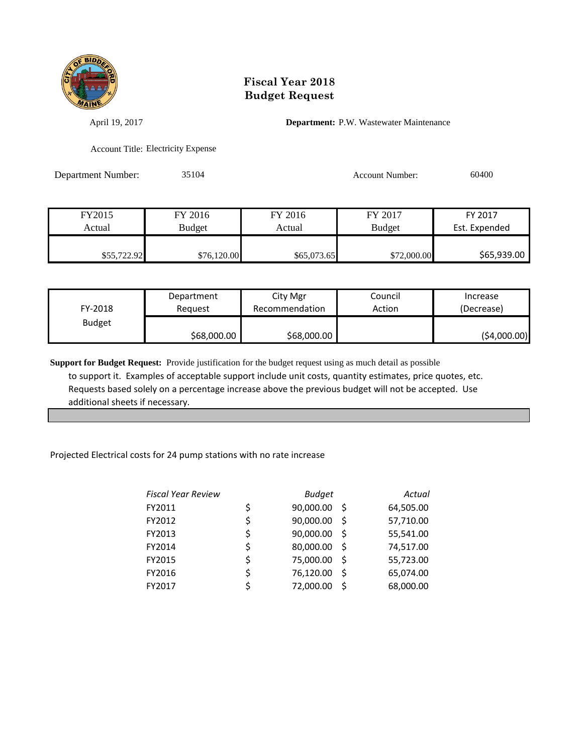

April 19, 2017 **Department:** P.W. Wastewater Maintenance

Account Title: Electricity Expense

Department Number: 35104 Account Number: 60400

| FY2015      | FY 2016     | FY 2016     | FY 2017       | FY 2017       |
|-------------|-------------|-------------|---------------|---------------|
| Actual      | Budget      | Actual      | <b>Budget</b> | Est. Expended |
|             |             |             |               |               |
| \$55,722.92 | \$76,120.00 | \$65,073.65 | \$72,000.00   | \$65,939.00   |

| FY-2018       | Department  | City Mgr       | Council | Increase    |
|---------------|-------------|----------------|---------|-------------|
|               | Reauest     | Recommendation | Action  | (Decrease)  |
| <b>Budget</b> | \$68,000.00 | \$68,000.00    |         | (54,000.00) |

**Support for Budget Request:** Provide justification for the budget request using as much detail as possible to support it. Examples of acceptable support include unit costs, quantity estimates, price quotes, etc. Requests based solely on a percentage increase above the previous budget will not be accepted. Use additional sheets if necessary.

Projected Electrical costs for 24 pump stations with no rate increase

| <b>Fiscal Year Review</b> |    | <b>Budget</b>   | Actual    |
|---------------------------|----|-----------------|-----------|
| FY2011                    | \$ | 90,000.00<br>S  | 64,505.00 |
| FY2012                    | \$ | 90,000.00<br>Ś  | 57,710.00 |
| FY2013                    | \$ | 90,000.00<br>-S | 55,541.00 |
| FY2014                    | \$ | 80,000.00<br>Ś  | 74,517.00 |
| FY2015                    | \$ | 75,000.00<br>Ś  | 55,723.00 |
| FY2016                    | \$ | 76,120.00<br>Ś. | 65,074.00 |
| FY2017                    | ς  | 72,000.00<br>Ś  | 68,000.00 |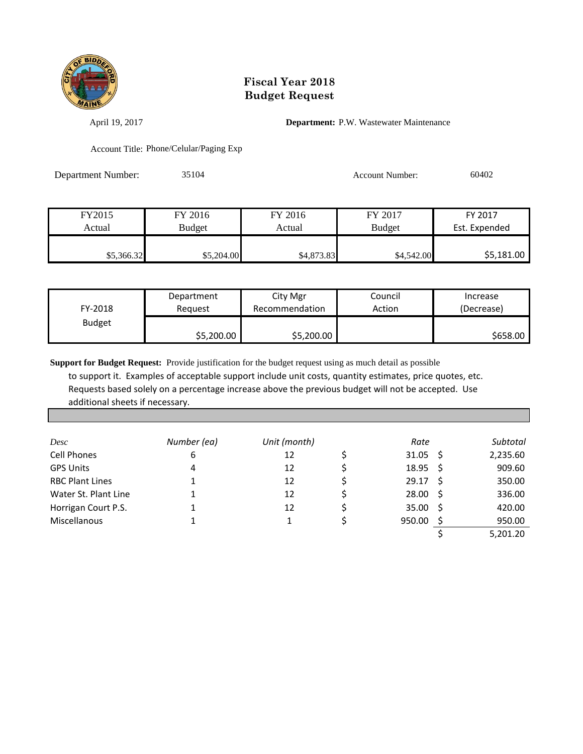

April 19, 2017 **Department:** P.W. Wastewater Maintenance

Account Title: Phone/Celular/Paging Exp

Department Number: 35104 Account Number: 60402

| FY2015     | FY 2016    | FY 2016    | FY 2017       | FY 2017       |
|------------|------------|------------|---------------|---------------|
| Actual     | Budget     | Actual     | <b>Budget</b> | Est. Expended |
|            |            |            |               |               |
| \$5,366.32 | \$5,204.00 | \$4,873.83 | \$4,542.00    | \$5,181.00    |

| FY-2018       | Department | City Mgr       | Council | Increase   |
|---------------|------------|----------------|---------|------------|
|               | Reauest    | Recommendation | Action  | (Decrease) |
| <b>Budget</b> | \$5,200.00 | \$5,200.00     |         | \$658.00   |

**Support for Budget Request:** Provide justification for the budget request using as much detail as possible to support it. Examples of acceptable support include unit costs, quantity estimates, price quotes, etc. Requests based solely on a percentage increase above the previous budget will not be accepted. Use additional sheets if necessary.

| Desc                   | Number (ea) | Unit (month) | Rate               | Subtotal |
|------------------------|-------------|--------------|--------------------|----------|
| <b>Cell Phones</b>     | 6           | 12           | $31.05 \quad$ \$   | 2,235.60 |
| <b>GPS Units</b>       | 4           | 12           | $18.95 \quad$ \$   | 909.60   |
| <b>RBC Plant Lines</b> |             | 12           | $29.17$ \$         | 350.00   |
| Water St. Plant Line   |             | 12           | $28.00\frac{1}{2}$ | 336.00   |
| Horrigan Court P.S.    |             | 12           | 35.00              | 420.00   |
| Miscellanous           |             |              | 950.00             | 950.00   |
|                        |             |              |                    | 5,201.20 |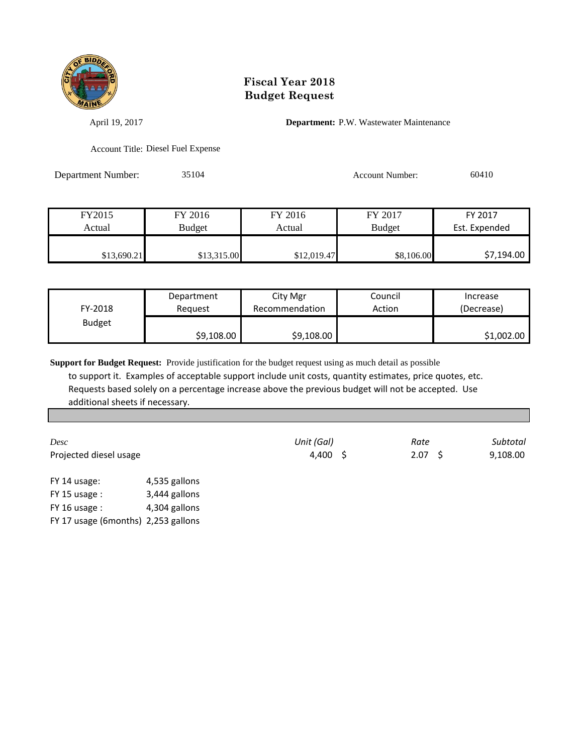

April 19, 2017 **Department:** P.W. Wastewater Maintenance

Account Title: Diesel Fuel Expense

Department Number: 35104 Account Number: 60410

| FY2015      | FY 2016     | FY 2016     | FY 2017       | FY 2017       |
|-------------|-------------|-------------|---------------|---------------|
| Actual      | Budget      | Actual      | <b>Budget</b> | Est. Expended |
|             |             |             |               |               |
| \$13,690.21 | \$13,315.00 | \$12,019.47 | \$8,106.00    | \$7,194.00    |

| FY-2018       | Department | City Mgr       | Council | Increase   |
|---------------|------------|----------------|---------|------------|
|               | Reauest    | Recommendation | Action  | (Decrease) |
| <b>Budget</b> | \$9,108.00 | \$9,108.00     |         | \$1,002.00 |

**Support for Budget Request:** Provide justification for the budget request using as much detail as possible to support it. Examples of acceptable support include unit costs, quantity estimates, price quotes, etc. Requests based solely on a percentage increase above the previous budget will not be accepted. Use additional sheets if necessary.

*Desc Unit (Gal) Rate Subtotal* Projected diesel usage and the set of the 4,400 \$ 2.07 \$ 9,108.00

FY 14 usage: 4,535 gallons FY 15 usage : 3,444 gallons FY 16 usage : 4,304 gallons FY 17 usage (6months) 2,253 gallons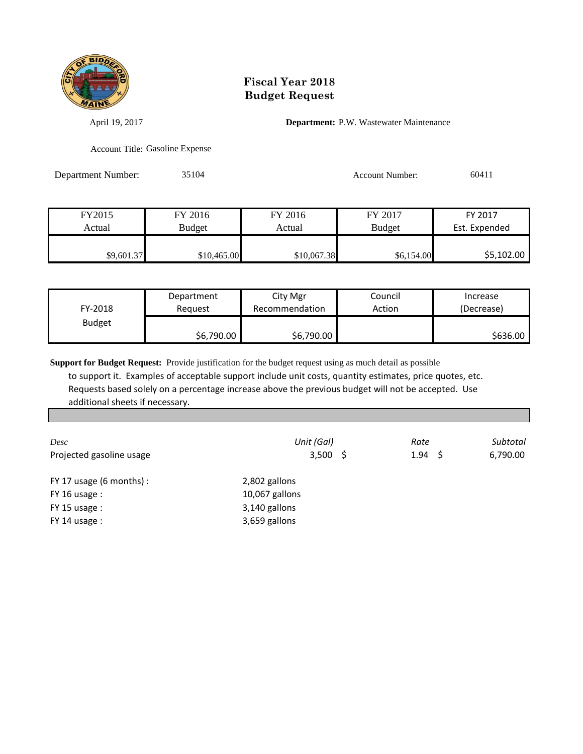

April 19, 2017 **Department:** P.W. Wastewater Maintenance

Account Title: Gasoline Expense

Department Number: 35104 Account Number: 60411

| FY2015     | FY 2016     | FY 2016     | FY 2017       | FY 2017       |
|------------|-------------|-------------|---------------|---------------|
| Actual     | Budget      | Actual      | <b>Budget</b> | Est. Expended |
|            |             |             |               |               |
| \$9,601.37 | \$10,465.00 | \$10,067.38 | \$6,154.00    | \$5,102.00    |

| FY-2018       | Department | City Mgr       | Council | Increase   |
|---------------|------------|----------------|---------|------------|
|               | Reauest    | Recommendation | Action  | (Decrease) |
| <b>Budget</b> | \$6,790.00 | \$6,790.00     |         | \$636.00   |

**Support for Budget Request:** Provide justification for the budget request using as much detail as possible to support it. Examples of acceptable support include unit costs, quantity estimates, price quotes, etc. Requests based solely on a percentage increase above the previous budget will not be accepted. Use additional sheets if necessary.

| Desc                         | Unit (Gal)     | Rate            | Subtotal |
|------------------------------|----------------|-----------------|----------|
| Projected gasoline usage     | $3,500$ \$     | $1.94 \quad$ \$ | 6,790.00 |
| FY 17 usage $(6$ months $):$ | 2,802 gallons  |                 |          |
| $FY$ 16 usage :              | 10,067 gallons |                 |          |
| $FY$ 15 usage :              | 3,140 gallons  |                 |          |
| $FY$ 14 usage :              | 3,659 gallons  |                 |          |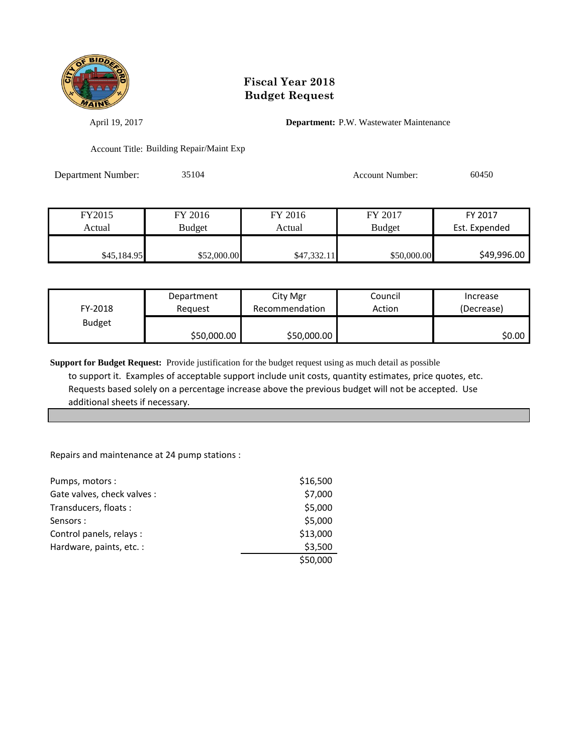

April 19, 2017 **Department:** P.W. Wastewater Maintenance

Account Title: Building Repair/Maint Exp

Department Number: 35104 Account Number: 60450

| FY2015      | FY 2016     | FY 2016     | FY 2017       | FY 2017       |
|-------------|-------------|-------------|---------------|---------------|
| Actual      | Budget      | Actual      | <b>Budget</b> | Est. Expended |
|             |             |             |               |               |
| \$45,184.95 | \$52,000.00 | \$47,332.11 | \$50,000.00   | \$49,996.00   |

| FY-2018       | Department  | City Mgr       | Council | Increase   |
|---------------|-------------|----------------|---------|------------|
|               | Reauest     | Recommendation | Action  | (Decrease) |
| <b>Budget</b> | \$50,000.00 | \$50,000.00    |         | SO.OO I    |

**Support for Budget Request:** Provide justification for the budget request using as much detail as possible to support it. Examples of acceptable support include unit costs, quantity estimates, price quotes, etc. Requests based solely on a percentage increase above the previous budget will not be accepted. Use additional sheets if necessary.

Repairs and maintenance at 24 pump stations :

| Pumps, motors:              | \$16,500 |
|-----------------------------|----------|
| Gate valves, check valves : | \$7,000  |
| Transducers, floats:        | \$5,000  |
| Sensors:                    | \$5,000  |
| Control panels, relays :    | \$13,000 |
| Hardware, paints, etc. :    | \$3,500  |
|                             | \$50,000 |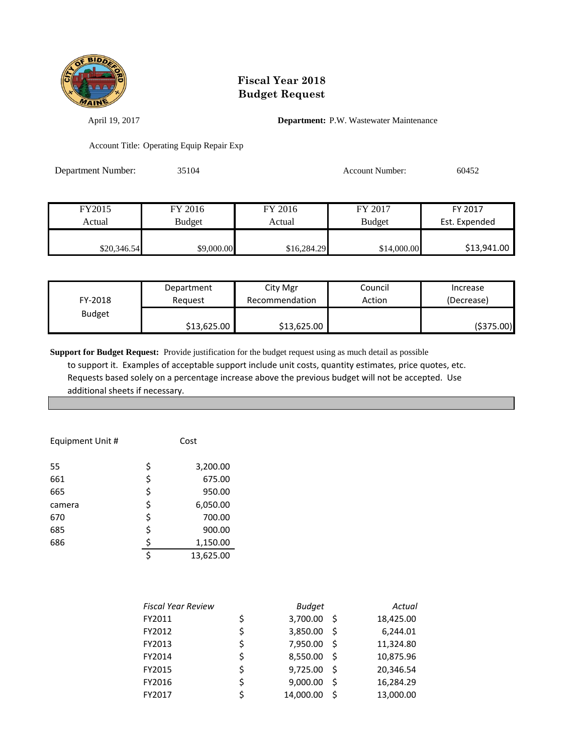

April 19, 2017 **Department:** P.W. Wastewater Maintenance

Account Title: Operating Equip Repair Exp

| Department Number: | 35104         |             | <b>Account Number:</b> | 60452         |
|--------------------|---------------|-------------|------------------------|---------------|
|                    |               |             |                        |               |
| FY2015             | FY 2016       | FY 2016     | FY 2017                | FY 2017       |
| Actual             | <b>Budget</b> | Actual      | <b>Budget</b>          | Est. Expended |
| \$20,346.54        | \$9,000.00    | \$16,284.29 | \$14,000.00            | \$13,941.00   |

| FY-2018       | Department  | City Mgr       | Council | Increase    |
|---------------|-------------|----------------|---------|-------------|
|               | Reauest     | Recommendation | Action  | (Decrease)  |
| <b>Budget</b> | \$13,625.00 | \$13,625.00    |         | ( \$375.00) |

**Support for Budget Request:** Provide justification for the budget request using as much detail as possible

 to support it. Examples of acceptable support include unit costs, quantity estimates, price quotes, etc. Requests based solely on a percentage increase above the previous budget will not be accepted. Use additional sheets if necessary.

| Equipment Unit # |    | Cost      |
|------------------|----|-----------|
| 55               | \$ | 3,200.00  |
| 661              | \$ | 675.00    |
| 665              | \$ | 950.00    |
| camera           | \$ | 6,050.00  |
| 670              | \$ | 700.00    |
| 685              | \$ | 900.00    |
| 686              | \$ | 1,150.00  |
|                  | Ś  | 13,625.00 |

| <b>Fiscal Year Review</b> | <b>Budget</b>  |    | Actual    |
|---------------------------|----------------|----|-----------|
| FY2011                    | \$<br>3,700.00 | -S | 18,425.00 |
| FY2012                    | \$<br>3,850.00 | Ŝ. | 6,244.01  |
| FY2013                    | 7,950.00       | Ŝ  | 11,324.80 |
| FY2014                    | 8,550.00       | -S | 10,875.96 |
| FY2015                    | \$<br>9,725.00 | -S | 20,346.54 |
| FY2016                    | 9,000.00       | Ś  | 16,284.29 |
| FY2017                    | 14,000.00      | Ś  | 13,000.00 |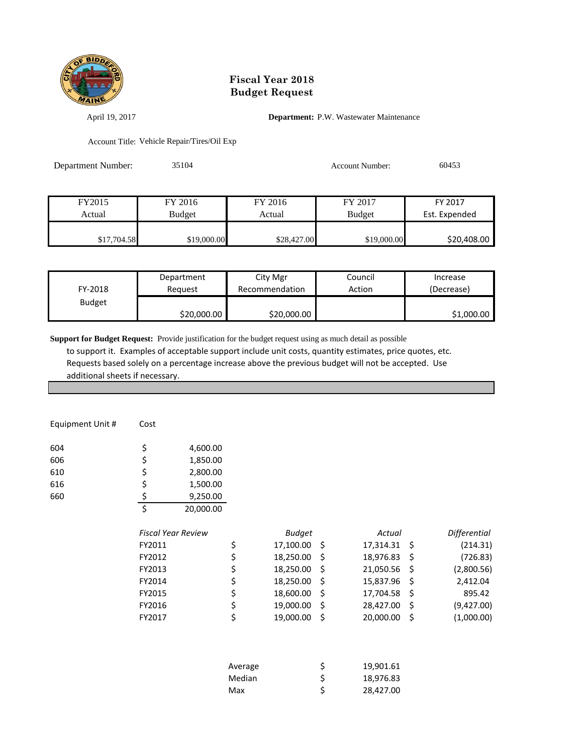

April 19, 2017 **Department:** P.W. Wastewater Maintenance

Account Title: Vehicle Repair/Tires/Oil Exp

| Department Number: | 35104         |             | <b>Account Number:</b> | 60453         |
|--------------------|---------------|-------------|------------------------|---------------|
|                    |               |             |                        |               |
| FY2015             | FY 2016       | FY 2016     | FY 2017                | FY 2017       |
| Actual             | <b>Budget</b> | Actual      | <b>Budget</b>          | Est. Expended |
| \$17,704.58        | \$19,000.00   | \$28,427.00 | \$19,000.00            | \$20,408.00   |

| FY-2018       | Department  | City Mgr       | Council | Increase   |
|---------------|-------------|----------------|---------|------------|
|               | Reauest     | Recommendation | Action  | (Decrease) |
| <b>Budget</b> | \$20,000.00 | \$20,000.00    |         | \$1,000.00 |

**Support for Budget Request:** Provide justification for the budget request using as much detail as possible

 to support it. Examples of acceptable support include unit costs, quantity estimates, price quotes, etc. Requests based solely on a percentage increase above the previous budget will not be accepted. Use additional sheets if necessary.

| Equipment Unit # | Cost                      |           |                 |      |           |     |              |
|------------------|---------------------------|-----------|-----------------|------|-----------|-----|--------------|
| 604              | \$                        | 4,600.00  |                 |      |           |     |              |
| 606              | \$                        | 1,850.00  |                 |      |           |     |              |
| 610              | \$                        | 2,800.00  |                 |      |           |     |              |
| 616              | \$                        | 1,500.00  |                 |      |           |     |              |
| 660              | \$                        | 9,250.00  |                 |      |           |     |              |
|                  | \$                        | 20,000.00 |                 |      |           |     |              |
|                  | <b>Fiscal Year Review</b> |           | <b>Budget</b>   |      | Actual    |     | Differential |
|                  | FY2011                    |           | \$<br>17,100.00 | - \$ | 17,314.31 | -\$ | (214.31)     |
|                  | FY2012                    |           | \$<br>18,250.00 | -\$  | 18,976.83 | -S  | (726.83)     |
|                  | FY2013                    |           | \$<br>18,250.00 | -\$  | 21,050.56 | \$  | (2,800.56)   |
|                  | FY2014                    |           | \$<br>18,250.00 | \$   | 15,837.96 | \$  | 2,412.04     |
|                  | FY2015                    |           | \$<br>18,600.00 | \$   | 17,704.58 | -\$ | 895.42       |
|                  | FY2016                    |           | \$<br>19,000.00 | -\$  | 28,427.00 | -\$ | (9,427.00)   |
|                  | FY2017                    |           | \$<br>19,000.00 | \$   | 20,000.00 | \$  | (1,000.00)   |
|                  |                           |           |                 |      |           |     |              |
|                  |                           |           |                 |      |           |     |              |

| Average | S | 19,901.61 |
|---------|---|-----------|
| Median  | S | 18,976.83 |
| Max     |   | 28,427.00 |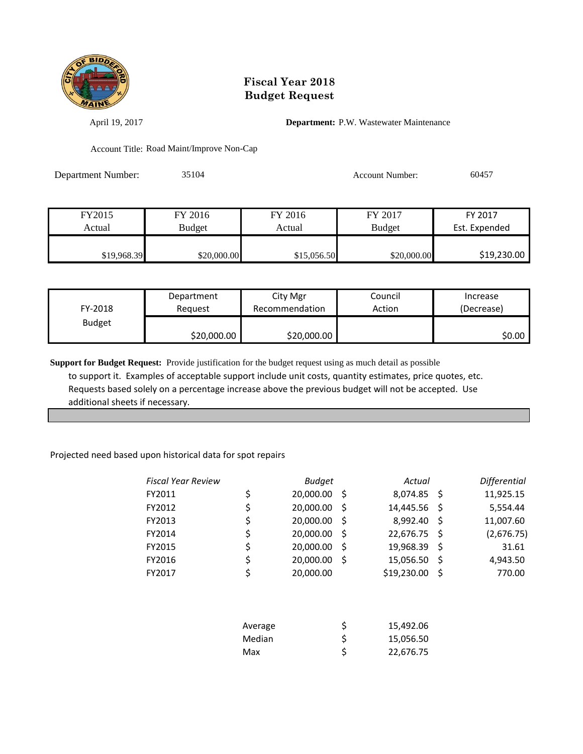

April 19, 2017 **Department:** P.W. Wastewater Maintenance

Account Title: Road Maint/Improve Non-Cap

Department Number: 35104 Account Number: 60457

| FY2015      | FY 2016     | FY 2016     | FY 2017       | FY 2017       |
|-------------|-------------|-------------|---------------|---------------|
| Actual      | Budget      | Actual      | <b>Budget</b> | Est. Expended |
|             |             |             |               |               |
| \$19,968.39 | \$20,000.00 | \$15,056.50 | \$20,000.00   | \$19,230.00   |

| FY-2018       | Department  | City Mgr       | Council | Increase   |
|---------------|-------------|----------------|---------|------------|
|               | Reguest     | Recommendation | Action  | (Decrease) |
| <b>Budget</b> | \$20,000.00 | \$20,000.00    |         | \$0.00     |

**Support for Budget Request:** Provide justification for the budget request using as much detail as possible to support it. Examples of acceptable support include unit costs, quantity estimates, price quotes, etc. Requests based solely on a percentage increase above the previous budget will not be accepted. Use additional sheets if necessary.

#### Projected need based upon historical data for spot repairs

| <b>Fiscal Year Review</b> | <b>Budget</b>   |      | Actual      |     | Differential |
|---------------------------|-----------------|------|-------------|-----|--------------|
| FY2011                    | \$<br>20,000.00 | - \$ | 8,074.85    | - S | 11,925.15    |
| FY2012                    | \$<br>20,000.00 | -S   | 14,445.56   | -S  | 5,554.44     |
| FY2013                    | \$<br>20,000.00 | -S   | 8,992.40    | -S  | 11,007.60    |
| FY2014                    | \$<br>20,000.00 | -S   | 22,676.75   | -S  | (2,676.75)   |
| FY2015                    | \$<br>20,000.00 | -S   | 19,968.39   | \$  | 31.61        |
| FY2016                    | \$<br>20,000.00 | .S   | 15,056.50   | Ŝ   | 4,943.50     |
| FY2017                    | \$<br>20,000.00 |      | \$19,230.00 | Ŝ.  | 770.00       |
|                           |                 |      |             |     |              |

| Average | 15,492.06 |
|---------|-----------|
| Median  | 15,056.50 |
| Max     | 22,676.75 |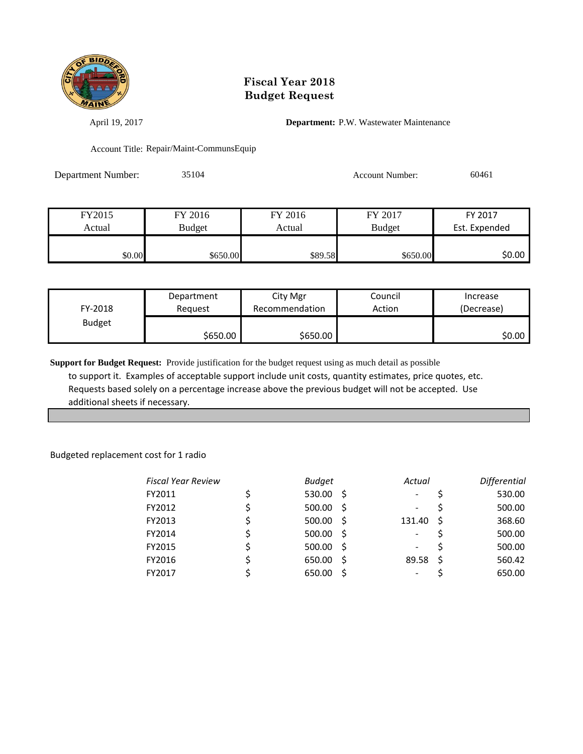

April 19, 2017 **Department:** P.W. Wastewater Maintenance

Account Title: Repair/Maint-CommunsEquip

Department Number: 35104 Account Number: 60461

| FY2015 | FY 2016       | FY 2016 | FY 2017       | FY 2017       |
|--------|---------------|---------|---------------|---------------|
| Actual | <b>Budget</b> | Actual  | <b>Budget</b> | Est. Expended |
|        |               |         |               |               |
| \$0.00 | \$650.00      | \$89.58 | \$650.00      | \$0.00        |

| FY-2018       | Department<br>Reauest | City Mgr<br>Recommendation | Council<br>Action | Increase<br>(Decrease) |
|---------------|-----------------------|----------------------------|-------------------|------------------------|
| <b>Budget</b> |                       |                            |                   | \$0.00                 |
|               | \$650.00              | \$650.00                   |                   |                        |

**Support for Budget Request:** Provide justification for the budget request using as much detail as possible to support it. Examples of acceptable support include unit costs, quantity estimates, price quotes, etc. Requests based solely on a percentage increase above the previous budget will not be accepted. Use additional sheets if necessary.

Budgeted replacement cost for 1 radio

| <b>Fiscal Year Review</b> | <b>Budget</b> |      | Actual                   |    | Differential |
|---------------------------|---------------|------|--------------------------|----|--------------|
| FY2011                    | $530.00$ \$   |      | $\overline{\phantom{a}}$ |    | 530.00       |
| FY2012                    | 500.00        | - \$ | -                        |    | 500.00       |
| FY2013                    | $500.00$ \$   |      | 131.40                   | -S | 368.60       |
| FY2014                    | 500.00        | - S  | -                        |    | 500.00       |
| FY2015                    | $500.00$ \$   |      | -                        |    | 500.00       |
| FY2016                    | 650.00        | - S  | 89.58                    | -S | 560.42       |
| FY2017                    | 650.00        |      | -                        |    | 650.00       |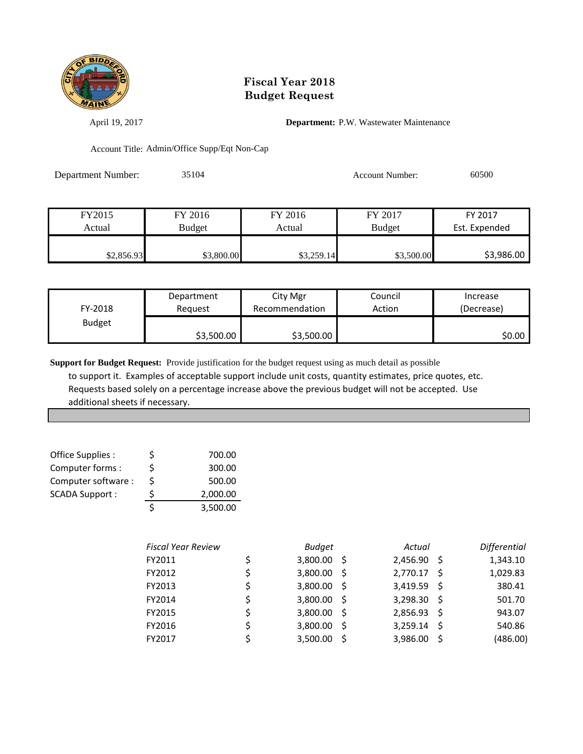

April 19, 2017 **Department:** P.W. Wastewater Maintenance

Account Title: Admin/Office Supp/Eqt Non-Cap

Department Number: 35104 Account Number: 60500

| FY2015     | FY 2016    | FY 2016    | FY 2017       | FY 2017       |
|------------|------------|------------|---------------|---------------|
| Actual     | Budget     | Actual     | <b>Budget</b> | Est. Expended |
|            |            |            |               |               |
| \$2,856.93 | \$3,800.00 | \$3,259.14 | \$3,500.00    | \$3,986.00    |

| FY-2018       | Department | City Mgr       | Council | Increase   |
|---------------|------------|----------------|---------|------------|
|               | Reauest    | Recommendation | Action  | (Decrease) |
| <b>Budget</b> | \$3,500.00 | \$3,500.00     |         | \$0.00     |

**Support for Budget Request:** Provide justification for the budget request using as much detail as possible to support it. Examples of acceptable support include unit costs, quantity estimates, price quotes, etc. Requests based solely on a percentage increase above the previous budget will not be accepted. Use additional sheets if necessary.

| Office Supplies :     | Ś  | 700.00   |
|-----------------------|----|----------|
| Computer forms:       | Ś  | 300.00   |
| Computer software:    | Ś. | 500.00   |
| <b>SCADA Support:</b> | Ś  | 2,000.00 |
|                       |    | 3,500.00 |

| <b>Fiscal Year Review</b> | <b>Budget</b> |     | Actual      |     | <b>Differential</b> |
|---------------------------|---------------|-----|-------------|-----|---------------------|
| FY2011                    | $3,800.00$ \$ |     | 2,456.90    | - S | 1,343.10            |
| FY2012                    | 3,800.00      | - S | 2,770.17 \$ |     | 1,029.83            |
| FY2013                    | $3,800.00$ \$ |     | 3,419.59 \$ |     | 380.41              |
| FY2014                    | $3,800.00$ \$ |     | 3,298.30    | - S | 501.70              |
| FY2015                    | $3,800.00$ \$ |     | 2,856.93 \$ |     | 943.07              |
| FY2016                    | 3,800.00      | - S | 3,259.14    | -Ś  | 540.86              |
| FY2017                    | 3,500.00      |     | 3,986.00    | -S  | (486.00)            |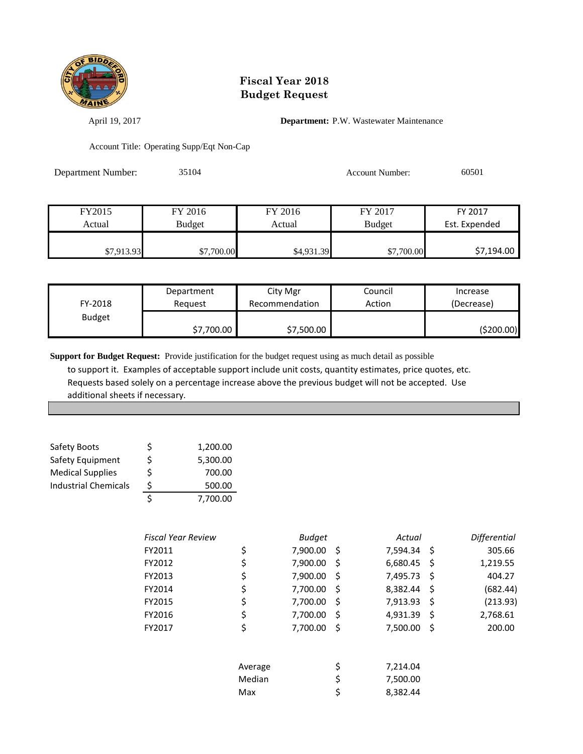

April 19, 2017 **Department:** P.W. Wastewater Maintenance

Account Title: Operating Supp/Eqt Non-Cap

| Department Number: | 35104         |            | <b>Account Number:</b> | 60501         |
|--------------------|---------------|------------|------------------------|---------------|
|                    |               |            |                        |               |
| FY2015             | FY 2016       | FY 2016    | FY 2017                | FY 2017       |
| Actual             | <b>Budget</b> | Actual     | <b>Budget</b>          | Est. Expended |
| \$7,913.93         | \$7,700.00    | \$4,931.39 | \$7,700.00             | \$7,194.00    |

| FY-2018       | Department | City Mgr       | Council | Increase   |
|---------------|------------|----------------|---------|------------|
|               | Reguest    | Recommendation | Action  | (Decrease) |
| <b>Budget</b> | \$7,700.00 | \$7,500.00     |         | (\$200.00) |

**Support for Budget Request:** Provide justification for the budget request using as much detail as possible to support it. Examples of acceptable support include unit costs, quantity estimates, price quotes, etc. Requests based solely on a percentage increase above the previous budget will not be accepted. Use additional sheets if necessary.

| Safety Boots                | \$ | 1,200.00 |
|-----------------------------|----|----------|
| Safety Equipment            | Ś  | 5,300.00 |
| <b>Medical Supplies</b>     | Ś  | 700.00   |
| <b>Industrial Chemicals</b> | \$ | 500.00   |
|                             |    | 7,700.00 |

| <b>Fiscal Year Review</b> |         | <b>Budget</b> |     | Actual      |    | <b>Differential</b> |
|---------------------------|---------|---------------|-----|-------------|----|---------------------|
| FY2011                    | \$      | 7,900.00      | \$  | 7,594.34 \$ |    | 305.66              |
| FY2012                    | \$      | 7,900.00      | \$  | 6,680.45    | S  | 1,219.55            |
| FY2013                    | \$      | 7,900.00      | \$  | 7,495.73    | \$ | 404.27              |
| FY2014                    | \$      | 7,700.00      | \$  | 8,382.44    | -S | (682.44)            |
| FY2015                    | \$      | 7,700.00      | \$, | 7,913.93    | S  | (213.93)            |
| FY2016                    | \$      | 7,700.00      | \$  | 4,931.39    | Ŝ. | 2,768.61            |
| FY2017                    | \$      | 7,700.00      | \$  | 7,500.00    | \$ | 200.00              |
|                           | Average |               | \$  | 7,214.04    |    |                     |
|                           | Median  |               | \$  | 7,500.00    |    |                     |
|                           | Max     |               | \$  | 8,382.44    |    |                     |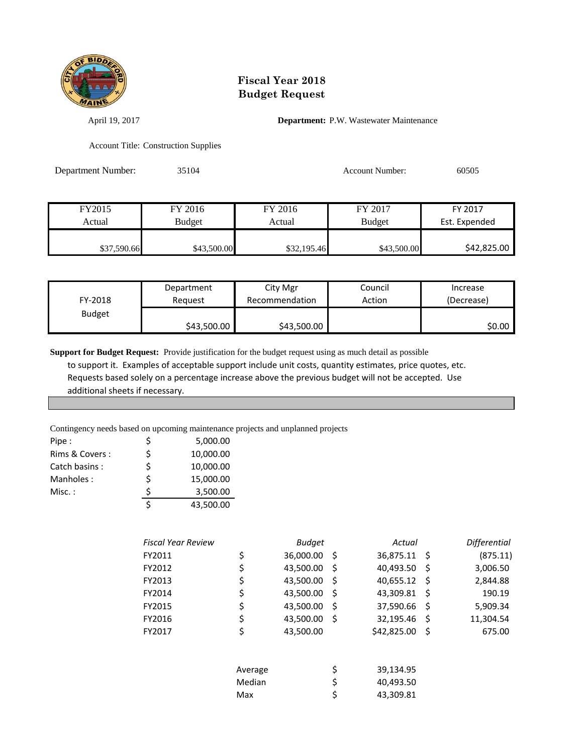

April 19, 2017 **Department:** P.W. Wastewater Maintenance

Account Title: Construction Supplies

| Department Number: | 35104         |         | <b>Account Number:</b> | 60505         |
|--------------------|---------------|---------|------------------------|---------------|
|                    |               |         |                        |               |
|                    |               |         |                        |               |
| FY2015             | FY 2016       | FY 2016 | FY 2017                | FY 2017       |
| Actual             | <b>Budget</b> | Actual  | <b>Budget</b>          | Est. Expended |

| \$37,590.66 | \$43,500.00 | \$32,195.46 | \$43,500.00 | \$42,825.00 |
|-------------|-------------|-------------|-------------|-------------|
|             |             |             |             |             |

| FY-2018       | Department  | City Mgr       | Council | Increase   |
|---------------|-------------|----------------|---------|------------|
|               | Reauest     | Recommendation | Action  | (Decrease) |
| <b>Budget</b> | \$43,500.00 | \$43,500.00    |         | \$0.00     |

**Support for Budget Request:** Provide justification for the budget request using as much detail as possible

 to support it. Examples of acceptable support include unit costs, quantity estimates, price quotes, etc. Requests based solely on a percentage increase above the previous budget will not be accepted. Use additional sheets if necessary.

Contingency needs based on upcoming maintenance projects and unplanned projects

| Pipe:          | \$ | 5,000.00  |
|----------------|----|-----------|
| Rims & Covers: | Ś  | 10,000.00 |
| Catch basins:  | Ś  | 10,000.00 |
| Manholes:      | \$ | 15,000.00 |
| $Misc.$ :      |    | 3,500.00  |
|                | ς  | 43,500.00 |

| Fiscal Year Review |         | <b>Budget</b> |     | Actual      |     | <b>Differential</b> |
|--------------------|---------|---------------|-----|-------------|-----|---------------------|
| FY2011             | \$      | 36,000.00     | -\$ | 36,875.11   | -\$ | (875.11)            |
| FY2012             | \$      | 43,500.00     | \$  | 40,493.50   | \$  | 3,006.50            |
| FY2013             | Ş       | 43,500.00     | S   | 40,655.12   | - S | 2,844.88            |
| FY2014             | \$      | 43,500.00     | \$  | 43,309.81   | \$  | 190.19              |
| FY2015             | \$      | 43,500.00     | Ŝ.  | 37,590.66   | S   | 5,909.34            |
| FY2016             | \$      | 43,500.00     | S   | 32,195.46   | -S  | 11,304.54           |
| FY2017             | \$      | 43,500.00     |     | \$42,825.00 | S   | 675.00              |
|                    | Average |               | \$  | 39,134.95   |     |                     |
|                    | Median  |               | \$  | 40,493.50   |     |                     |
|                    | Max     |               | \$  | 43,309.81   |     |                     |